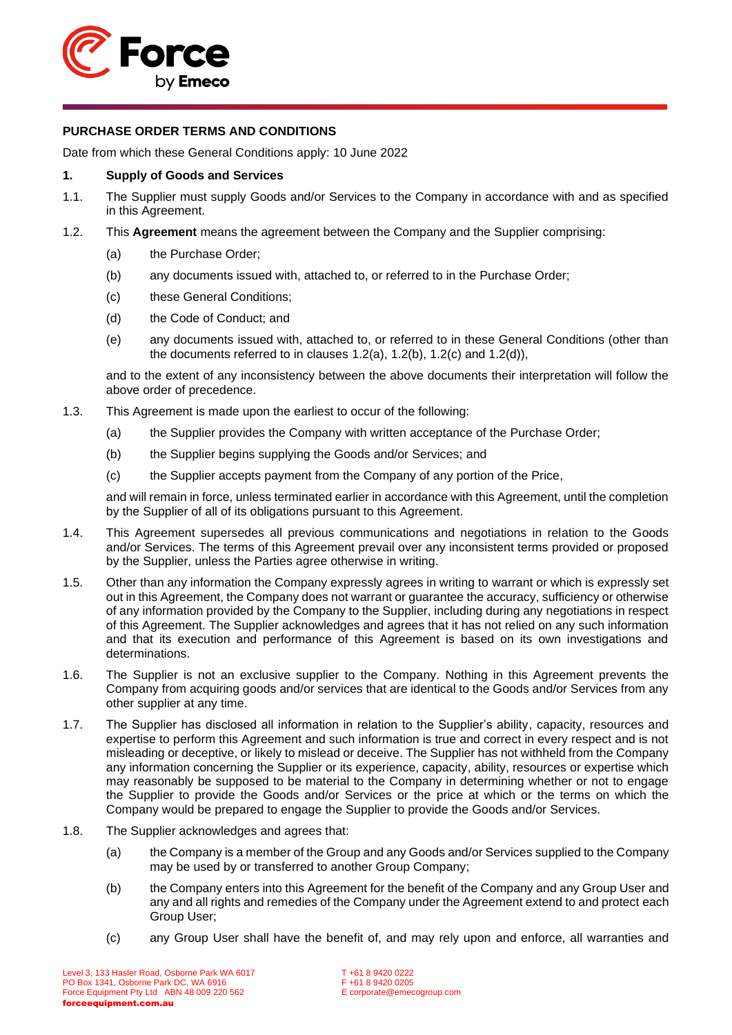

# **PURCHASE ORDER TERMS AND CONDITIONS**

Date from which these General Conditions apply: 10 June 2022

# **1. Supply of Goods and Services**

- <span id="page-0-4"></span>1.1. The Supplier must supply Goods and/or Services to the Company in accordance with and as specified in this Agreement.
- <span id="page-0-5"></span><span id="page-0-2"></span><span id="page-0-1"></span><span id="page-0-0"></span>1.2. This **Agreement** means the agreement between the Company and the Supplier comprising:
	- (a) the Purchase Order;
	- (b) any documents issued with, attached to, or referred to in the Purchase Order;
	- (c) these General Conditions;
	- (d) the Code of Conduct; and
	- (e) any documents issued with, attached to, or referred to in these General Conditions (other than the documents referred to in clauses [1.2\(a\),](#page-0-0) [1.2\(b\),](#page-0-1) [1.2\(c\)](#page-0-2) and [1.2\(d\)\)](#page-0-3),

<span id="page-0-3"></span>and to the extent of any inconsistency between the above documents their interpretation will follow the above order of precedence.

- 1.3. This Agreement is made upon the earliest to occur of the following:
	- (a) the Supplier provides the Company with written acceptance of the Purchase Order;
	- (b) the Supplier begins supplying the Goods and/or Services; and
	- (c) the Supplier accepts payment from the Company of any portion of the Price,

and will remain in force, unless terminated earlier in accordance with this Agreement, until the completion by the Supplier of all of its obligations pursuant to this Agreement.

- 1.4. This Agreement supersedes all previous communications and negotiations in relation to the Goods and/or Services. The terms of this Agreement prevail over any inconsistent terms provided or proposed by the Supplier, unless the Parties agree otherwise in writing.
- 1.5. Other than any information the Company expressly agrees in writing to warrant or which is expressly set out in this Agreement, the Company does not warrant or guarantee the accuracy, sufficiency or otherwise of any information provided by the Company to the Supplier, including during any negotiations in respect of this Agreement. The Supplier acknowledges and agrees that it has not relied on any such information and that its execution and performance of this Agreement is based on its own investigations and determinations.
- 1.6. The Supplier is not an exclusive supplier to the Company. Nothing in this Agreement prevents the Company from acquiring goods and/or services that are identical to the Goods and/or Services from any other supplier at any time.
- 1.7. The Supplier has disclosed all information in relation to the Supplier's ability, capacity, resources and expertise to perform this Agreement and such information is true and correct in every respect and is not misleading or deceptive, or likely to mislead or deceive. The Supplier has not withheld from the Company any information concerning the Supplier or its experience, capacity, ability, resources or expertise which may reasonably be supposed to be material to the Company in determining whether or not to engage the Supplier to provide the Goods and/or Services or the price at which or the terms on which the Company would be prepared to engage the Supplier to provide the Goods and/or Services.
- 1.8. The Supplier acknowledges and agrees that:
	- (a) the Company is a member of the Group and any Goods and/or Services supplied to the Company may be used by or transferred to another Group Company;
	- (b) the Company enters into this Agreement for the benefit of the Company and any Group User and any and all rights and remedies of the Company under the Agreement extend to and protect each Group User;
	- (c) any Group User shall have the benefit of, and may rely upon and enforce, all warranties and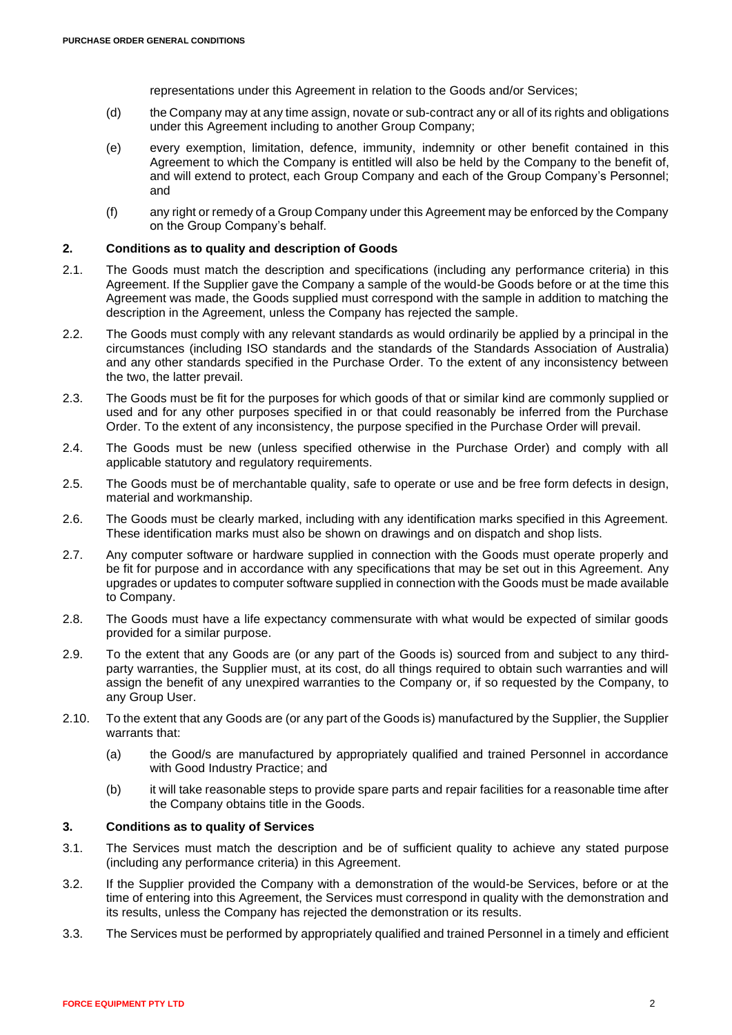representations under this Agreement in relation to the Goods and/or Services;

- (d) the Company may at any time assign, novate or sub-contract any or all of its rights and obligations under this Agreement including to another Group Company;
- (e) every exemption, limitation, defence, immunity, indemnity or other benefit contained in this Agreement to which the Company is entitled will also be held by the Company to the benefit of, and will extend to protect, each Group Company and each of the Group Company's Personnel; and
- (f) any right or remedy of a Group Company under this Agreement may be enforced by the Company on the Group Company's behalf.

### **2. Conditions as to quality and description of Goods**

- 2.1. The Goods must match the description and specifications (including any performance criteria) in this Agreement. If the Supplier gave the Company a sample of the would-be Goods before or at the time this Agreement was made, the Goods supplied must correspond with the sample in addition to matching the description in the Agreement, unless the Company has rejected the sample.
- 2.2. The Goods must comply with any relevant standards as would ordinarily be applied by a principal in the circumstances (including ISO standards and the standards of the Standards Association of Australia) and any other standards specified in the Purchase Order. To the extent of any inconsistency between the two, the latter prevail.
- 2.3. The Goods must be fit for the purposes for which goods of that or similar kind are commonly supplied or used and for any other purposes specified in or that could reasonably be inferred from the Purchase Order. To the extent of any inconsistency, the purpose specified in the Purchase Order will prevail.
- 2.4. The Goods must be new (unless specified otherwise in the Purchase Order) and comply with all applicable statutory and regulatory requirements.
- 2.5. The Goods must be of merchantable quality, safe to operate or use and be free form defects in design, material and workmanship.
- 2.6. The Goods must be clearly marked, including with any identification marks specified in this Agreement. These identification marks must also be shown on drawings and on dispatch and shop lists.
- 2.7. Any computer software or hardware supplied in connection with the Goods must operate properly and be fit for purpose and in accordance with any specifications that may be set out in this Agreement. Any upgrades or updates to computer software supplied in connection with the Goods must be made available to Company.
- 2.8. The Goods must have a life expectancy commensurate with what would be expected of similar goods provided for a similar purpose.
- 2.9. To the extent that any Goods are (or any part of the Goods is) sourced from and subject to any thirdparty warranties, the Supplier must, at its cost, do all things required to obtain such warranties and will assign the benefit of any unexpired warranties to the Company or, if so requested by the Company, to any Group User.
- 2.10. To the extent that any Goods are (or any part of the Goods is) manufactured by the Supplier, the Supplier warrants that:
	- (a) the Good/s are manufactured by appropriately qualified and trained Personnel in accordance with Good Industry Practice; and
	- (b) it will take reasonable steps to provide spare parts and repair facilities for a reasonable time after the Company obtains title in the Goods.

### **3. Conditions as to quality of Services**

- 3.1. The Services must match the description and be of sufficient quality to achieve any stated purpose (including any performance criteria) in this Agreement.
- 3.2. If the Supplier provided the Company with a demonstration of the would-be Services, before or at the time of entering into this Agreement, the Services must correspond in quality with the demonstration and its results, unless the Company has rejected the demonstration or its results.
- 3.3. The Services must be performed by appropriately qualified and trained Personnel in a timely and efficient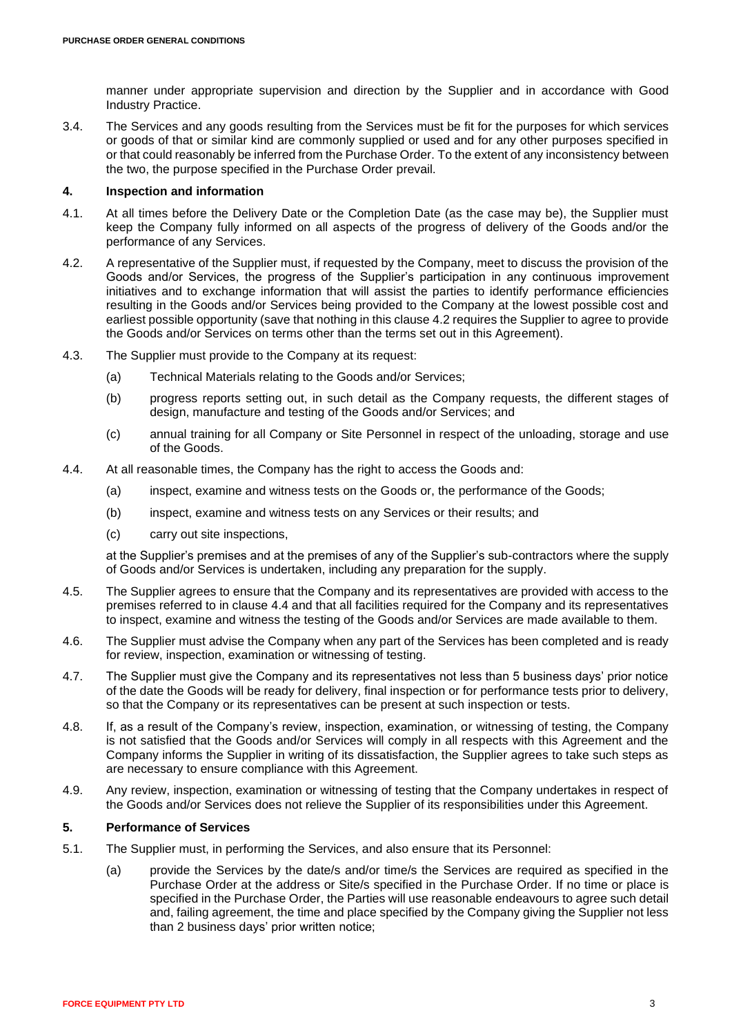manner under appropriate supervision and direction by the Supplier and in accordance with Good Industry Practice.

3.4. The Services and any goods resulting from the Services must be fit for the purposes for which services or goods of that or similar kind are commonly supplied or used and for any other purposes specified in or that could reasonably be inferred from the Purchase Order. To the extent of any inconsistency between the two, the purpose specified in the Purchase Order prevail.

### **4. Inspection and information**

- 4.1. At all times before the Delivery Date or the Completion Date (as the case may be), the Supplier must keep the Company fully informed on all aspects of the progress of delivery of the Goods and/or the performance of any Services.
- <span id="page-2-0"></span>4.2. A representative of the Supplier must, if requested by the Company, meet to discuss the provision of the Goods and/or Services, the progress of the Supplier's participation in any continuous improvement initiatives and to exchange information that will assist the parties to identify performance efficiencies resulting in the Goods and/or Services being provided to the Company at the lowest possible cost and earliest possible opportunity (save that nothing in this clause [4.2](#page-2-0) requires the Supplier to agree to provide the Goods and/or Services on terms other than the terms set out in this Agreement).
- 4.3. The Supplier must provide to the Company at its request:
	- (a) Technical Materials relating to the Goods and/or Services;
	- (b) progress reports setting out, in such detail as the Company requests, the different stages of design, manufacture and testing of the Goods and/or Services; and
	- (c) annual training for all Company or Site Personnel in respect of the unloading, storage and use of the Goods.
- <span id="page-2-1"></span>4.4. At all reasonable times, the Company has the right to access the Goods and:
	- (a) inspect, examine and witness tests on the Goods or, the performance of the Goods;
	- (b) inspect, examine and witness tests on any Services or their results; and
	- (c) carry out site inspections,

at the Supplier's premises and at the premises of any of the Supplier's sub-contractors where the supply of Goods and/or Services is undertaken, including any preparation for the supply.

- 4.5. The Supplier agrees to ensure that the Company and its representatives are provided with access to the premises referred to in clause [4.4](#page-2-1) and that all facilities required for the Company and its representatives to inspect, examine and witness the testing of the Goods and/or Services are made available to them.
- 4.6. The Supplier must advise the Company when any part of the Services has been completed and is ready for review, inspection, examination or witnessing of testing.
- 4.7. The Supplier must give the Company and its representatives not less than 5 business days' prior notice of the date the Goods will be ready for delivery, final inspection or for performance tests prior to delivery, so that the Company or its representatives can be present at such inspection or tests.
- 4.8. If, as a result of the Company's review, inspection, examination, or witnessing of testing, the Company is not satisfied that the Goods and/or Services will comply in all respects with this Agreement and the Company informs the Supplier in writing of its dissatisfaction, the Supplier agrees to take such steps as are necessary to ensure compliance with this Agreement.
- 4.9. Any review, inspection, examination or witnessing of testing that the Company undertakes in respect of the Goods and/or Services does not relieve the Supplier of its responsibilities under this Agreement.

# **5. Performance of Services**

- <span id="page-2-2"></span>5.1. The Supplier must, in performing the Services, and also ensure that its Personnel:
	- (a) provide the Services by the date/s and/or time/s the Services are required as specified in the Purchase Order at the address or Site/s specified in the Purchase Order. If no time or place is specified in the Purchase Order, the Parties will use reasonable endeavours to agree such detail and, failing agreement, the time and place specified by the Company giving the Supplier not less than 2 business days' prior written notice;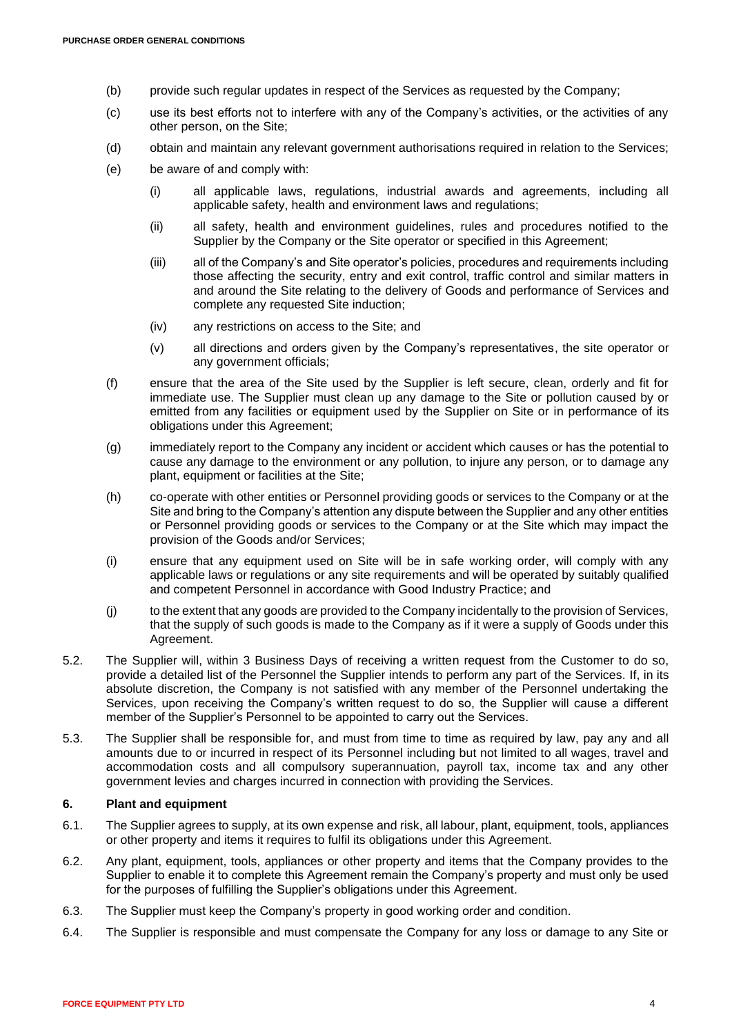- (b) provide such regular updates in respect of the Services as requested by the Company;
- (c) use its best efforts not to interfere with any of the Company's activities, or the activities of any other person, on the Site;
- (d) obtain and maintain any relevant government authorisations required in relation to the Services;
- (e) be aware of and comply with:
	- (i) all applicable laws, regulations, industrial awards and agreements, including all applicable safety, health and environment laws and regulations;
	- (ii) all safety, health and environment guidelines, rules and procedures notified to the Supplier by the Company or the Site operator or specified in this Agreement;
	- (iii) all of the Company's and Site operator's policies, procedures and requirements including those affecting the security, entry and exit control, traffic control and similar matters in and around the Site relating to the delivery of Goods and performance of Services and complete any requested Site induction;
	- (iv) any restrictions on access to the Site; and
	- (v) all directions and orders given by the Company's representatives, the site operator or any government officials;
- (f) ensure that the area of the Site used by the Supplier is left secure, clean, orderly and fit for immediate use. The Supplier must clean up any damage to the Site or pollution caused by or emitted from any facilities or equipment used by the Supplier on Site or in performance of its obligations under this Agreement;
- (g) immediately report to the Company any incident or accident which causes or has the potential to cause any damage to the environment or any pollution, to injure any person, or to damage any plant, equipment or facilities at the Site;
- (h) co-operate with other entities or Personnel providing goods or services to the Company or at the Site and bring to the Company's attention any dispute between the Supplier and any other entities or Personnel providing goods or services to the Company or at the Site which may impact the provision of the Goods and/or Services;
- (i) ensure that any equipment used on Site will be in safe working order, will comply with any applicable laws or regulations or any site requirements and will be operated by suitably qualified and competent Personnel in accordance with Good Industry Practice; and
- <span id="page-3-0"></span>(j) to the extent that any goods are provided to the Company incidentally to the provision of Services, that the supply of such goods is made to the Company as if it were a supply of Goods under this Agreement.
- 5.2. The Supplier will, within 3 Business Days of receiving a written request from the Customer to do so, provide a detailed list of the Personnel the Supplier intends to perform any part of the Services. If, in its absolute discretion, the Company is not satisfied with any member of the Personnel undertaking the Services, upon receiving the Company's written request to do so, the Supplier will cause a different member of the Supplier's Personnel to be appointed to carry out the Services.
- 5.3. The Supplier shall be responsible for, and must from time to time as required by law, pay any and all amounts due to or incurred in respect of its Personnel including but not limited to all wages, travel and accommodation costs and all compulsory superannuation, payroll tax, income tax and any other government levies and charges incurred in connection with providing the Services.

# **6. Plant and equipment**

- 6.1. The Supplier agrees to supply, at its own expense and risk, all labour, plant, equipment, tools, appliances or other property and items it requires to fulfil its obligations under this Agreement.
- 6.2. Any plant, equipment, tools, appliances or other property and items that the Company provides to the Supplier to enable it to complete this Agreement remain the Company's property and must only be used for the purposes of fulfilling the Supplier's obligations under this Agreement.
- 6.3. The Supplier must keep the Company's property in good working order and condition.
- 6.4. The Supplier is responsible and must compensate the Company for any loss or damage to any Site or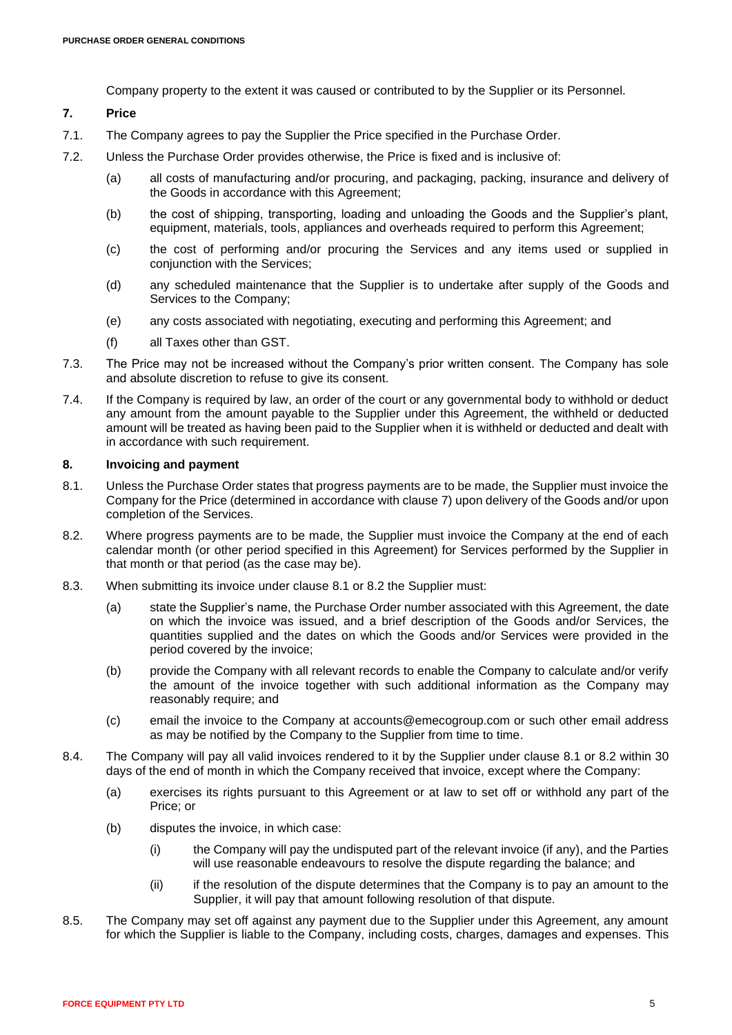Company property to the extent it was caused or contributed to by the Supplier or its Personnel.

# <span id="page-4-0"></span>**7. Price**

- 7.1. The Company agrees to pay the Supplier the Price specified in the Purchase Order.
- 7.2. Unless the Purchase Order provides otherwise, the Price is fixed and is inclusive of:
	- (a) all costs of manufacturing and/or procuring, and packaging, packing, insurance and delivery of the Goods in accordance with this Agreement;
	- (b) the cost of shipping, transporting, loading and unloading the Goods and the Supplier's plant, equipment, materials, tools, appliances and overheads required to perform this Agreement;
	- (c) the cost of performing and/or procuring the Services and any items used or supplied in conjunction with the Services;
	- (d) any scheduled maintenance that the Supplier is to undertake after supply of the Goods and Services to the Company;
	- (e) any costs associated with negotiating, executing and performing this Agreement; and
	- (f) all Taxes other than GST.
- 7.3. The Price may not be increased without the Company's prior written consent. The Company has sole and absolute discretion to refuse to give its consent.
- 7.4. If the Company is required by law, an order of the court or any governmental body to withhold or deduct any amount from the amount payable to the Supplier under this Agreement, the withheld or deducted amount will be treated as having been paid to the Supplier when it is withheld or deducted and dealt with in accordance with such requirement.

### **8. Invoicing and payment**

- <span id="page-4-1"></span>8.1. Unless the Purchase Order states that progress payments are to be made, the Supplier must invoice the Company for the Price (determined in accordance with clause [7\)](#page-4-0) upon delivery of the Goods and/or upon completion of the Services.
- <span id="page-4-2"></span>8.2. Where progress payments are to be made, the Supplier must invoice the Company at the end of each calendar month (or other period specified in this Agreement) for Services performed by the Supplier in that month or that period (as the case may be).
- 8.3. When submitting its invoice under clause 8.1 or 8.2 the Supplier must:
	- (a) state the Supplier's name, the Purchase Order number associated with this Agreement, the date on which the invoice was issued, and a brief description of the Goods and/or Services, the quantities supplied and the dates on which the Goods and/or Services were provided in the period covered by the invoice;
	- (b) provide the Company with all relevant records to enable the Company to calculate and/or verify the amount of the invoice together with such additional information as the Company may reasonably require; and
	- (c) email the invoice to the Company at accounts@emecogroup.com or such other email address as may be notified by the Company to the Supplier from time to time.
- 8.4. The Company will pay all valid invoices rendered to it by the Supplier under clause [8.1](#page-4-1) or [8.2](#page-4-2) within 30 days of the end of month in which the Company received that invoice, except where the Company:
	- (a) exercises its rights pursuant to this Agreement or at law to set off or withhold any part of the Price; or
	- (b) disputes the invoice, in which case:
		- (i) the Company will pay the undisputed part of the relevant invoice (if any), and the Parties will use reasonable endeavours to resolve the dispute regarding the balance; and
		- (ii) if the resolution of the dispute determines that the Company is to pay an amount to the Supplier, it will pay that amount following resolution of that dispute.
- <span id="page-4-3"></span>8.5. The Company may set off against any payment due to the Supplier under this Agreement, any amount for which the Supplier is liable to the Company, including costs, charges, damages and expenses. This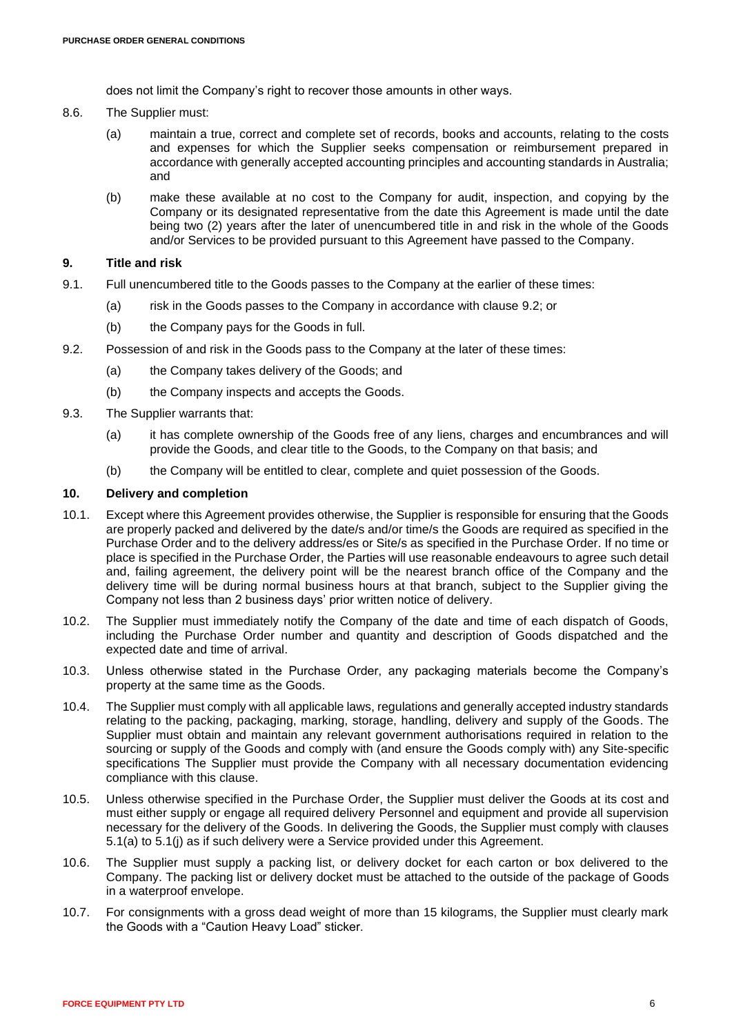does not limit the Company's right to recover those amounts in other ways.

- 8.6. The Supplier must:
	- (a) maintain a true, correct and complete set of records, books and accounts, relating to the costs and expenses for which the Supplier seeks compensation or reimbursement prepared in accordance with generally accepted accounting principles and accounting standards in Australia; and
	- (b) make these available at no cost to the Company for audit, inspection, and copying by the Company or its designated representative from the date this Agreement is made until the date being two (2) years after the later of unencumbered title in and risk in the whole of the Goods and/or Services to be provided pursuant to this Agreement have passed to the Company.

# **9. Title and risk**

- 9.1. Full unencumbered title to the Goods passes to the Company at the earlier of these times:
	- (a) risk in the Goods passes to the Company in accordance with clause [9.2;](#page-5-0) or
	- (b) the Company pays for the Goods in full.
- <span id="page-5-0"></span>9.2. Possession of and risk in the Goods pass to the Company at the later of these times:
	- (a) the Company takes delivery of the Goods; and
	- (b) the Company inspects and accepts the Goods.
- <span id="page-5-2"></span>9.3. The Supplier warrants that:
	- (a) it has complete ownership of the Goods free of any liens, charges and encumbrances and will provide the Goods, and clear title to the Goods, to the Company on that basis; and
	- (b) the Company will be entitled to clear, complete and quiet possession of the Goods.

#### <span id="page-5-1"></span>**10. Delivery and completion**

- 10.1. Except where this Agreement provides otherwise, the Supplier is responsible for ensuring that the Goods are properly packed and delivered by the date/s and/or time/s the Goods are required as specified in the Purchase Order and to the delivery address/es or Site/s as specified in the Purchase Order. If no time or place is specified in the Purchase Order, the Parties will use reasonable endeavours to agree such detail and, failing agreement, the delivery point will be the nearest branch office of the Company and the delivery time will be during normal business hours at that branch, subject to the Supplier giving the Company not less than 2 business days' prior written notice of delivery.
- 10.2. The Supplier must immediately notify the Company of the date and time of each dispatch of Goods, including the Purchase Order number and quantity and description of Goods dispatched and the expected date and time of arrival.
- 10.3. Unless otherwise stated in the Purchase Order, any packaging materials become the Company's property at the same time as the Goods.
- 10.4. The Supplier must comply with all applicable laws, regulations and generally accepted industry standards relating to the packing, packaging, marking, storage, handling, delivery and supply of the Goods. The Supplier must obtain and maintain any relevant government authorisations required in relation to the sourcing or supply of the Goods and comply with (and ensure the Goods comply with) any Site-specific specifications The Supplier must provide the Company with all necessary documentation evidencing compliance with this clause.
- 10.5. Unless otherwise specified in the Purchase Order, the Supplier must deliver the Goods at its cost and must either supply or engage all required delivery Personnel and equipment and provide all supervision necessary for the delivery of the Goods. In delivering the Goods, the Supplier must comply with clauses [5.1\(a\)](#page-2-2) to [5.1\(j\)](#page-3-0) as if such delivery were a Service provided under this Agreement.
- 10.6. The Supplier must supply a packing list, or delivery docket for each carton or box delivered to the Company. The packing list or delivery docket must be attached to the outside of the package of Goods in a waterproof envelope.
- 10.7. For consignments with a gross dead weight of more than 15 kilograms, the Supplier must clearly mark the Goods with a "Caution Heavy Load" sticker.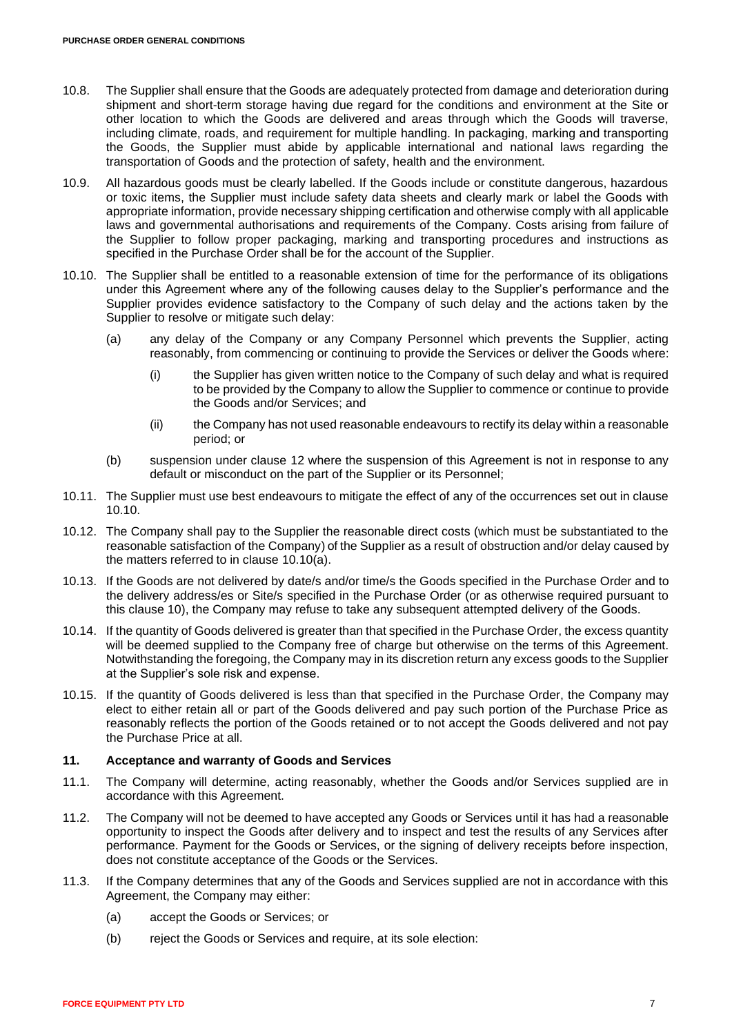- 10.8. The Supplier shall ensure that the Goods are adequately protected from damage and deterioration during shipment and short-term storage having due regard for the conditions and environment at the Site or other location to which the Goods are delivered and areas through which the Goods will traverse, including climate, roads, and requirement for multiple handling. In packaging, marking and transporting the Goods, the Supplier must abide by applicable international and national laws regarding the transportation of Goods and the protection of safety, health and the environment.
- 10.9. All hazardous goods must be clearly labelled. If the Goods include or constitute dangerous, hazardous or toxic items, the Supplier must include safety data sheets and clearly mark or label the Goods with appropriate information, provide necessary shipping certification and otherwise comply with all applicable laws and governmental authorisations and requirements of the Company. Costs arising from failure of the Supplier to follow proper packaging, marking and transporting procedures and instructions as specified in the Purchase Order shall be for the account of the Supplier.
- <span id="page-6-1"></span><span id="page-6-0"></span>10.10. The Supplier shall be entitled to a reasonable extension of time for the performance of its obligations under this Agreement where any of the following causes delay to the Supplier's performance and the Supplier provides evidence satisfactory to the Company of such delay and the actions taken by the Supplier to resolve or mitigate such delay:
	- (a) any delay of the Company or any Company Personnel which prevents the Supplier, acting reasonably, from commencing or continuing to provide the Services or deliver the Goods where:
		- (i) the Supplier has given written notice to the Company of such delay and what is required to be provided by the Company to allow the Supplier to commence or continue to provide the Goods and/or Services; and
		- (ii) the Company has not used reasonable endeavours to rectify its delay within a reasonable period; or
	- (b) suspension under clause [12](#page-7-0) where the suspension of this Agreement is not in response to any default or misconduct on the part of the Supplier or its Personnel;
- 10.11. The Supplier must use best endeavours to mitigate the effect of any of the occurrences set out in clause [10.10.](#page-6-0)
- 10.12. The Company shall pay to the Supplier the reasonable direct costs (which must be substantiated to the reasonable satisfaction of the Company) of the Supplier as a result of obstruction and/or delay caused by the matters referred to in clause [10.10\(a\).](#page-6-1)
- 10.13. If the Goods are not delivered by date/s and/or time/s the Goods specified in the Purchase Order and to the delivery address/es or Site/s specified in the Purchase Order (or as otherwise required pursuant to this clause [10\)](#page-5-1), the Company may refuse to take any subsequent attempted delivery of the Goods.
- 10.14. If the quantity of Goods delivered is greater than that specified in the Purchase Order, the excess quantity will be deemed supplied to the Company free of charge but otherwise on the terms of this Agreement. Notwithstanding the foregoing, the Company may in its discretion return any excess goods to the Supplier at the Supplier's sole risk and expense.
- 10.15. If the quantity of Goods delivered is less than that specified in the Purchase Order, the Company may elect to either retain all or part of the Goods delivered and pay such portion of the Purchase Price as reasonably reflects the portion of the Goods retained or to not accept the Goods delivered and not pay the Purchase Price at all.

# <span id="page-6-2"></span>**11. Acceptance and warranty of Goods and Services**

- 11.1. The Company will determine, acting reasonably, whether the Goods and/or Services supplied are in accordance with this Agreement.
- 11.2. The Company will not be deemed to have accepted any Goods or Services until it has had a reasonable opportunity to inspect the Goods after delivery and to inspect and test the results of any Services after performance. Payment for the Goods or Services, or the signing of delivery receipts before inspection, does not constitute acceptance of the Goods or the Services.
- 11.3. If the Company determines that any of the Goods and Services supplied are not in accordance with this Agreement, the Company may either:
	- (a) accept the Goods or Services; or
	- (b) reject the Goods or Services and require, at its sole election: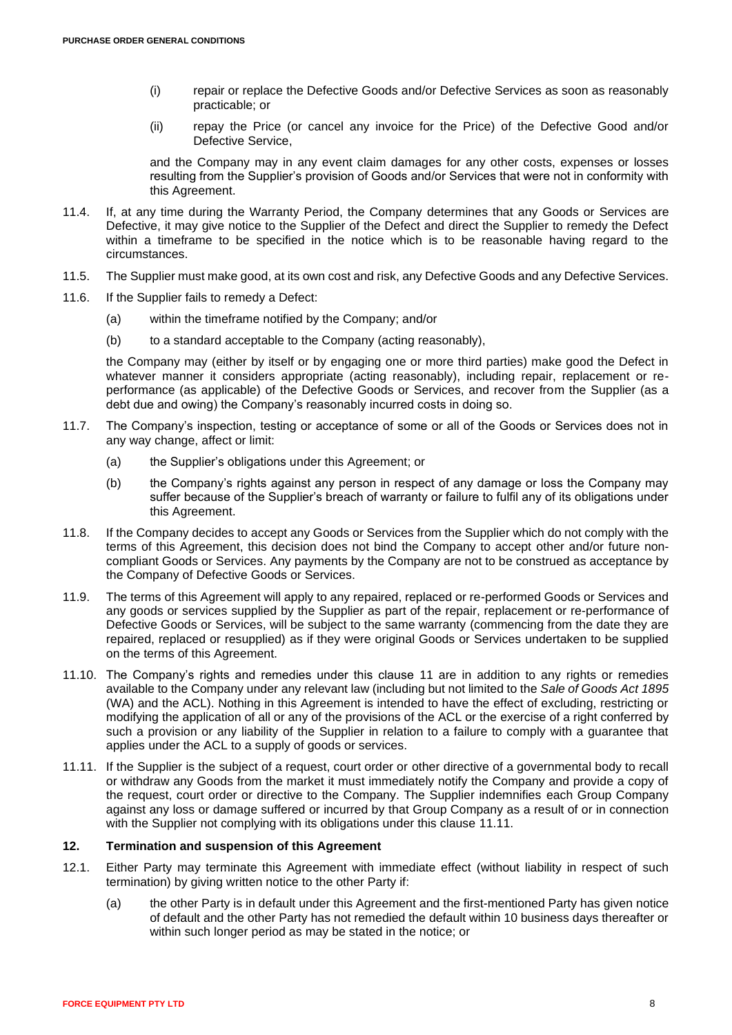- (i) repair or replace the Defective Goods and/or Defective Services as soon as reasonably practicable; or
- (ii) repay the Price (or cancel any invoice for the Price) of the Defective Good and/or Defective Service,

and the Company may in any event claim damages for any other costs, expenses or losses resulting from the Supplier's provision of Goods and/or Services that were not in conformity with this Agreement.

- 11.4. If, at any time during the Warranty Period, the Company determines that any Goods or Services are Defective, it may give notice to the Supplier of the Defect and direct the Supplier to remedy the Defect within a timeframe to be specified in the notice which is to be reasonable having regard to the circumstances.
- 11.5. The Supplier must make good, at its own cost and risk, any Defective Goods and any Defective Services.
- 11.6. If the Supplier fails to remedy a Defect:
	- (a) within the timeframe notified by the Company; and/or
	- (b) to a standard acceptable to the Company (acting reasonably),

the Company may (either by itself or by engaging one or more third parties) make good the Defect in whatever manner it considers appropriate (acting reasonably), including repair, replacement or reperformance (as applicable) of the Defective Goods or Services, and recover from the Supplier (as a debt due and owing) the Company's reasonably incurred costs in doing so.

- 11.7. The Company's inspection, testing or acceptance of some or all of the Goods or Services does not in any way change, affect or limit:
	- (a) the Supplier's obligations under this Agreement; or
	- (b) the Company's rights against any person in respect of any damage or loss the Company may suffer because of the Supplier's breach of warranty or failure to fulfil any of its obligations under this Agreement.
- 11.8. If the Company decides to accept any Goods or Services from the Supplier which do not comply with the terms of this Agreement, this decision does not bind the Company to accept other and/or future noncompliant Goods or Services. Any payments by the Company are not to be construed as acceptance by the Company of Defective Goods or Services.
- 11.9. The terms of this Agreement will apply to any repaired, replaced or re-performed Goods or Services and any goods or services supplied by the Supplier as part of the repair, replacement or re-performance of Defective Goods or Services, will be subject to the same warranty (commencing from the date they are repaired, replaced or resupplied) as if they were original Goods or Services undertaken to be supplied on the terms of this Agreement.
- 11.10. The Company's rights and remedies under this clause [11](#page-6-2) are in addition to any rights or remedies available to the Company under any relevant law (including but not limited to the *Sale of Goods Act 1895* (WA) and the ACL). Nothing in this Agreement is intended to have the effect of excluding, restricting or modifying the application of all or any of the provisions of the ACL or the exercise of a right conferred by such a provision or any liability of the Supplier in relation to a failure to comply with a guarantee that applies under the ACL to a supply of goods or services.
- <span id="page-7-1"></span>11.11. If the Supplier is the subject of a request, court order or other directive of a governmental body to recall or withdraw any Goods from the market it must immediately notify the Company and provide a copy of the request, court order or directive to the Company. The Supplier indemnifies each Group Company against any loss or damage suffered or incurred by that Group Company as a result of or in connection with the Supplier not complying with its obligations under this clause [11.11.](#page-7-1)

# <span id="page-7-0"></span>**12. Termination and suspension of this Agreement**

- <span id="page-7-2"></span>12.1. Either Party may terminate this Agreement with immediate effect (without liability in respect of such termination) by giving written notice to the other Party if:
	- (a) the other Party is in default under this Agreement and the first-mentioned Party has given notice of default and the other Party has not remedied the default within 10 business days thereafter or within such longer period as may be stated in the notice; or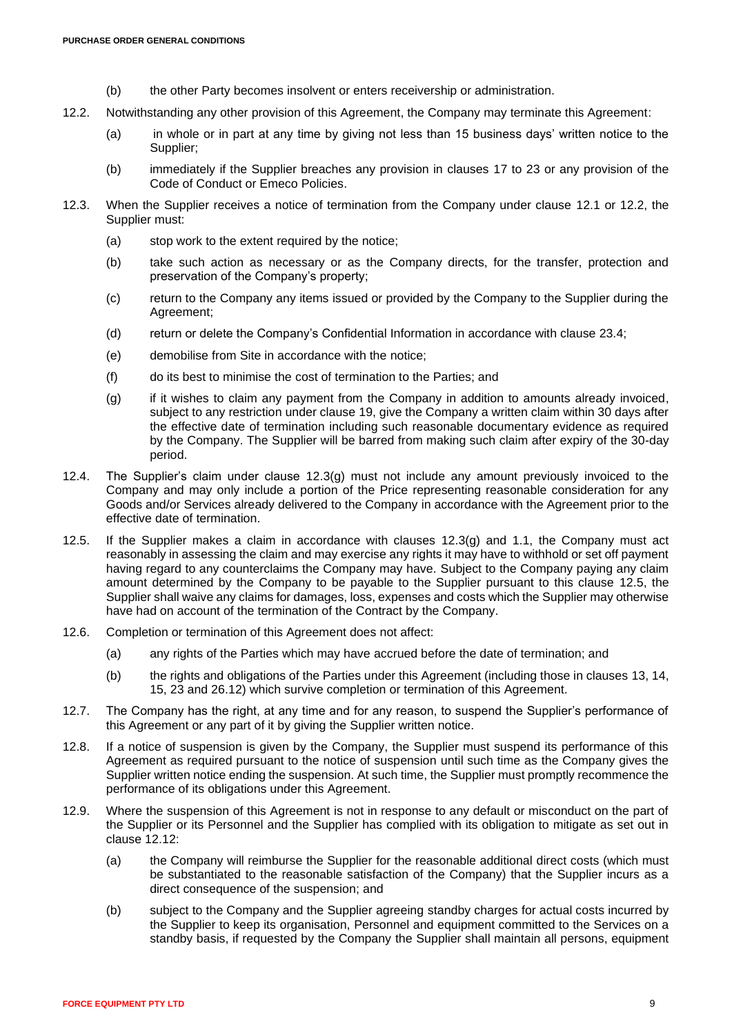- (b) the other Party becomes insolvent or enters receivership or administration.
- <span id="page-8-0"></span>12.2. Notwithstanding any other provision of this Agreement, the Company may terminate this Agreement:
	- (a) in whole or in part at any time by giving not less than 15 business days' written notice to the Supplier;
	- (b) immediately if the Supplier breaches any provision in clauses [17](#page-13-0) to [23](#page-15-0) or any provision of the Code of Conduct or Emeco Policies.
- 12.3. When the Supplier receives a notice of termination from the Company under clause [12.1](#page-7-2) or [12.2,](#page-8-0) the Supplier must:
	- (a) stop work to the extent required by the notice;
	- (b) take such action as necessary or as the Company directs, for the transfer, protection and preservation of the Company's property;
	- (c) return to the Company any items issued or provided by the Company to the Supplier during the Agreement;
	- (d) return or delete the Company's Confidential Information in accordance with clause [23.4;](#page-15-1)
	- (e) demobilise from Site in accordance with the notice;
	- (f) do its best to minimise the cost of termination to the Parties; and
	- (g) if it wishes to claim any payment from the Company in addition to amounts already invoiced, subject to any restriction under clause [19,](#page-13-1) give the Company a written claim within 30 days after the effective date of termination including such reasonable documentary evidence as required by the Company. The Supplier will be barred from making such claim after expiry of the 30-day period.
- <span id="page-8-1"></span>12.4. The Supplier's claim under clause [12.3\(g\)](#page-8-1) must not include any amount previously invoiced to the Company and may only include a portion of the Price representing reasonable consideration for any Goods and/or Services already delivered to the Company in accordance with the Agreement prior to the effective date of termination.
- <span id="page-8-2"></span>12.5. If the Supplier makes a claim in accordance with clauses [12.3\(g\)](#page-8-1) and [1.1,](#page-0-4) the Company must act reasonably in assessing the claim and may exercise any rights it may have to withhold or set off payment having regard to any counterclaims the Company may have. Subject to the Company paying any claim amount determined by the Company to be payable to the Supplier pursuant to this clause [12.5,](#page-8-2) the Supplier shall waive any claims for damages, loss, expenses and costs which the Supplier may otherwise have had on account of the termination of the Contract by the Company.
- 12.6. Completion or termination of this Agreement does not affect:
	- (a) any rights of the Parties which may have accrued before the date of termination; and
	- (b) the rights and obligations of the Parties under this Agreement (including those in clauses [13,](#page-9-0) [14,](#page-10-0) [15,](#page-11-0) [23](#page-15-0) and [26.12\)](#page-17-0) which survive completion or termination of this Agreement.
- 12.7. The Company has the right, at any time and for any reason, to suspend the Supplier's performance of this Agreement or any part of it by giving the Supplier written notice.
- 12.8. If a notice of suspension is given by the Company, the Supplier must suspend its performance of this Agreement as required pursuant to the notice of suspension until such time as the Company gives the Supplier written notice ending the suspension. At such time, the Supplier must promptly recommence the performance of its obligations under this Agreement.
- 12.9. Where the suspension of this Agreement is not in response to any default or misconduct on the part of the Supplier or its Personnel and the Supplier has complied with its obligation to mitigate as set out in clause [12.12:](#page-9-1)
	- (a) the Company will reimburse the Supplier for the reasonable additional direct costs (which must be substantiated to the reasonable satisfaction of the Company) that the Supplier incurs as a direct consequence of the suspension; and
	- (b) subject to the Company and the Supplier agreeing standby charges for actual costs incurred by the Supplier to keep its organisation, Personnel and equipment committed to the Services on a standby basis, if requested by the Company the Supplier shall maintain all persons, equipment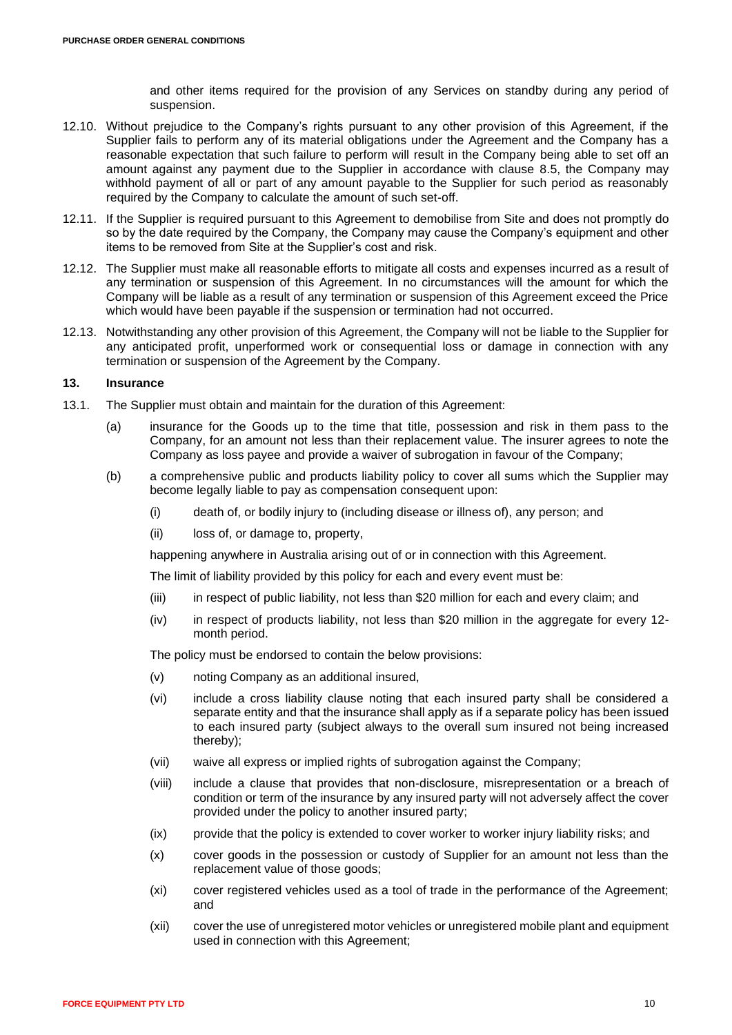and other items required for the provision of any Services on standby during any period of suspension.

- 12.10. Without prejudice to the Company's rights pursuant to any other provision of this Agreement, if the Supplier fails to perform any of its material obligations under the Agreement and the Company has a reasonable expectation that such failure to perform will result in the Company being able to set off an amount against any payment due to the Supplier in accordance with clause [8.5,](#page-4-3) the Company may withhold payment of all or part of any amount payable to the Supplier for such period as reasonably required by the Company to calculate the amount of such set-off.
- 12.11. If the Supplier is required pursuant to this Agreement to demobilise from Site and does not promptly do so by the date required by the Company, the Company may cause the Company's equipment and other items to be removed from Site at the Supplier's cost and risk.
- <span id="page-9-1"></span>12.12. The Supplier must make all reasonable efforts to mitigate all costs and expenses incurred as a result of any termination or suspension of this Agreement. In no circumstances will the amount for which the Company will be liable as a result of any termination or suspension of this Agreement exceed the Price which would have been payable if the suspension or termination had not occurred.
- 12.13. Notwithstanding any other provision of this Agreement, the Company will not be liable to the Supplier for any anticipated profit, unperformed work or consequential loss or damage in connection with any termination or suspension of the Agreement by the Company.

### <span id="page-9-0"></span>**13. Insurance**

- 13.1. The Supplier must obtain and maintain for the duration of this Agreement:
	- (a) insurance for the Goods up to the time that title, possession and risk in them pass to the Company, for an amount not less than their replacement value. The insurer agrees to note the Company as loss payee and provide a waiver of subrogation in favour of the Company;
	- (b) a comprehensive public and products liability policy to cover all sums which the Supplier may become legally liable to pay as compensation consequent upon:
		- (i) death of, or bodily injury to (including disease or illness of), any person; and
		- (ii) loss of, or damage to, property,

happening anywhere in Australia arising out of or in connection with this Agreement.

The limit of liability provided by this policy for each and every event must be:

- (iii) in respect of public liability, not less than \$20 million for each and every claim; and
- (iv) in respect of products liability, not less than \$20 million in the aggregate for every 12 month period.

The policy must be endorsed to contain the below provisions:

- (v) noting Company as an additional insured,
- (vi) include a cross liability clause noting that each insured party shall be considered a separate entity and that the insurance shall apply as if a separate policy has been issued to each insured party (subject always to the overall sum insured not being increased thereby);
- (vii) waive all express or implied rights of subrogation against the Company;
- (viii) include a clause that provides that non-disclosure, misrepresentation or a breach of condition or term of the insurance by any insured party will not adversely affect the cover provided under the policy to another insured party;
- (ix) provide that the policy is extended to cover worker to worker injury liability risks; and
- (x) cover goods in the possession or custody of Supplier for an amount not less than the replacement value of those goods;
- (xi) cover registered vehicles used as a tool of trade in the performance of the Agreement; and
- (xii) cover the use of unregistered motor vehicles or unregistered mobile plant and equipment used in connection with this Agreement;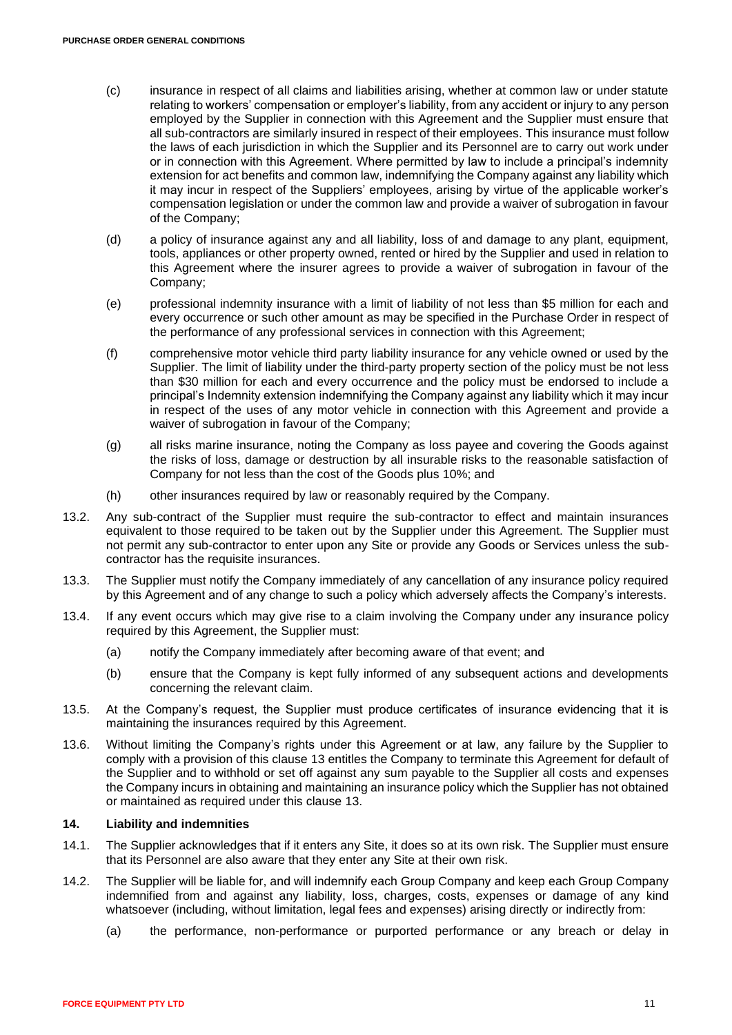- (c) insurance in respect of all claims and liabilities arising, whether at common law or under statute relating to workers' compensation or employer's liability, from any accident or injury to any person employed by the Supplier in connection with this Agreement and the Supplier must ensure that all sub-contractors are similarly insured in respect of their employees. This insurance must follow the laws of each jurisdiction in which the Supplier and its Personnel are to carry out work under or in connection with this Agreement. Where permitted by law to include a principal's indemnity extension for act benefits and common law, indemnifying the Company against any liability which it may incur in respect of the Suppliers' employees, arising by virtue of the applicable worker's compensation legislation or under the common law and provide a waiver of subrogation in favour of the Company;
- (d) a policy of insurance against any and all liability, loss of and damage to any plant, equipment, tools, appliances or other property owned, rented or hired by the Supplier and used in relation to this Agreement where the insurer agrees to provide a waiver of subrogation in favour of the Company;
- (e) professional indemnity insurance with a limit of liability of not less than \$5 million for each and every occurrence or such other amount as may be specified in the Purchase Order in respect of the performance of any professional services in connection with this Agreement;
- (f) comprehensive motor vehicle third party liability insurance for any vehicle owned or used by the Supplier. The limit of liability under the third-party property section of the policy must be not less than \$30 million for each and every occurrence and the policy must be endorsed to include a principal's Indemnity extension indemnifying the Company against any liability which it may incur in respect of the uses of any motor vehicle in connection with this Agreement and provide a waiver of subrogation in favour of the Company;
- (g) all risks marine insurance, noting the Company as loss payee and covering the Goods against the risks of loss, damage or destruction by all insurable risks to the reasonable satisfaction of Company for not less than the cost of the Goods plus 10%; and
- (h) other insurances required by law or reasonably required by the Company.
- 13.2. Any sub-contract of the Supplier must require the sub-contractor to effect and maintain insurances equivalent to those required to be taken out by the Supplier under this Agreement. The Supplier must not permit any sub-contractor to enter upon any Site or provide any Goods or Services unless the subcontractor has the requisite insurances.
- 13.3. The Supplier must notify the Company immediately of any cancellation of any insurance policy required by this Agreement and of any change to such a policy which adversely affects the Company's interests.
- 13.4. If any event occurs which may give rise to a claim involving the Company under any insurance policy required by this Agreement, the Supplier must:
	- (a) notify the Company immediately after becoming aware of that event; and
	- (b) ensure that the Company is kept fully informed of any subsequent actions and developments concerning the relevant claim.
- 13.5. At the Company's request, the Supplier must produce certificates of insurance evidencing that it is maintaining the insurances required by this Agreement.
- 13.6. Without limiting the Company's rights under this Agreement or at law, any failure by the Supplier to comply with a provision of this clause [13](#page-9-0) entitles the Company to terminate this Agreement for default of the Supplier and to withhold or set off against any sum payable to the Supplier all costs and expenses the Company incurs in obtaining and maintaining an insurance policy which the Supplier has not obtained or maintained as required under this clause [13.](#page-9-0)

### <span id="page-10-0"></span>**14. Liability and indemnities**

- 14.1. The Supplier acknowledges that if it enters any Site, it does so at its own risk. The Supplier must ensure that its Personnel are also aware that they enter any Site at their own risk.
- 14.2. The Supplier will be liable for, and will indemnify each Group Company and keep each Group Company indemnified from and against any liability, loss, charges, costs, expenses or damage of any kind whatsoever (including, without limitation, legal fees and expenses) arising directly or indirectly from:
	- (a) the performance, non-performance or purported performance or any breach or delay in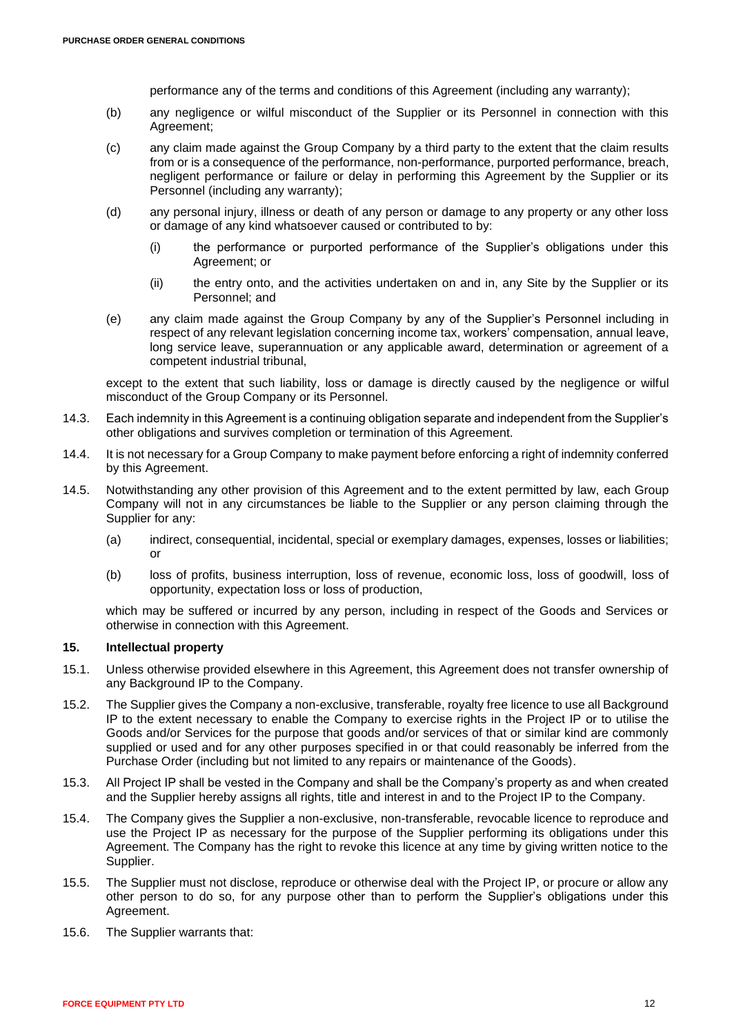performance any of the terms and conditions of this Agreement (including any warranty);

- (b) any negligence or wilful misconduct of the Supplier or its Personnel in connection with this Agreement;
- (c) any claim made against the Group Company by a third party to the extent that the claim results from or is a consequence of the performance, non-performance, purported performance, breach, negligent performance or failure or delay in performing this Agreement by the Supplier or its Personnel (including any warranty);
- (d) any personal injury, illness or death of any person or damage to any property or any other loss or damage of any kind whatsoever caused or contributed to by:
	- (i) the performance or purported performance of the Supplier's obligations under this Agreement; or
	- (ii) the entry onto, and the activities undertaken on and in, any Site by the Supplier or its Personnel; and
- (e) any claim made against the Group Company by any of the Supplier's Personnel including in respect of any relevant legislation concerning income tax, workers' compensation, annual leave, long service leave, superannuation or any applicable award, determination or agreement of a competent industrial tribunal,

except to the extent that such liability, loss or damage is directly caused by the negligence or wilful misconduct of the Group Company or its Personnel.

- 14.3. Each indemnity in this Agreement is a continuing obligation separate and independent from the Supplier's other obligations and survives completion or termination of this Agreement.
- 14.4. It is not necessary for a Group Company to make payment before enforcing a right of indemnity conferred by this Agreement.
- 14.5. Notwithstanding any other provision of this Agreement and to the extent permitted by law, each Group Company will not in any circumstances be liable to the Supplier or any person claiming through the Supplier for any:
	- (a) indirect, consequential, incidental, special or exemplary damages, expenses, losses or liabilities; or
	- (b) loss of profits, business interruption, loss of revenue, economic loss, loss of goodwill, loss of opportunity, expectation loss or loss of production,

which may be suffered or incurred by any person, including in respect of the Goods and Services or otherwise in connection with this Agreement.

# <span id="page-11-0"></span>**15. Intellectual property**

- 15.1. Unless otherwise provided elsewhere in this Agreement, this Agreement does not transfer ownership of any Background IP to the Company.
- 15.2. The Supplier gives the Company a non-exclusive, transferable, royalty free licence to use all Background IP to the extent necessary to enable the Company to exercise rights in the Project IP or to utilise the Goods and/or Services for the purpose that goods and/or services of that or similar kind are commonly supplied or used and for any other purposes specified in or that could reasonably be inferred from the Purchase Order (including but not limited to any repairs or maintenance of the Goods).
- <span id="page-11-1"></span>15.3. All Project IP shall be vested in the Company and shall be the Company's property as and when created and the Supplier hereby assigns all rights, title and interest in and to the Project IP to the Company.
- 15.4. The Company gives the Supplier a non-exclusive, non-transferable, revocable licence to reproduce and use the Project IP as necessary for the purpose of the Supplier performing its obligations under this Agreement. The Company has the right to revoke this licence at any time by giving written notice to the Supplier.
- 15.5. The Supplier must not disclose, reproduce or otherwise deal with the Project IP, or procure or allow any other person to do so, for any purpose other than to perform the Supplier's obligations under this Agreement.
- 15.6. The Supplier warrants that: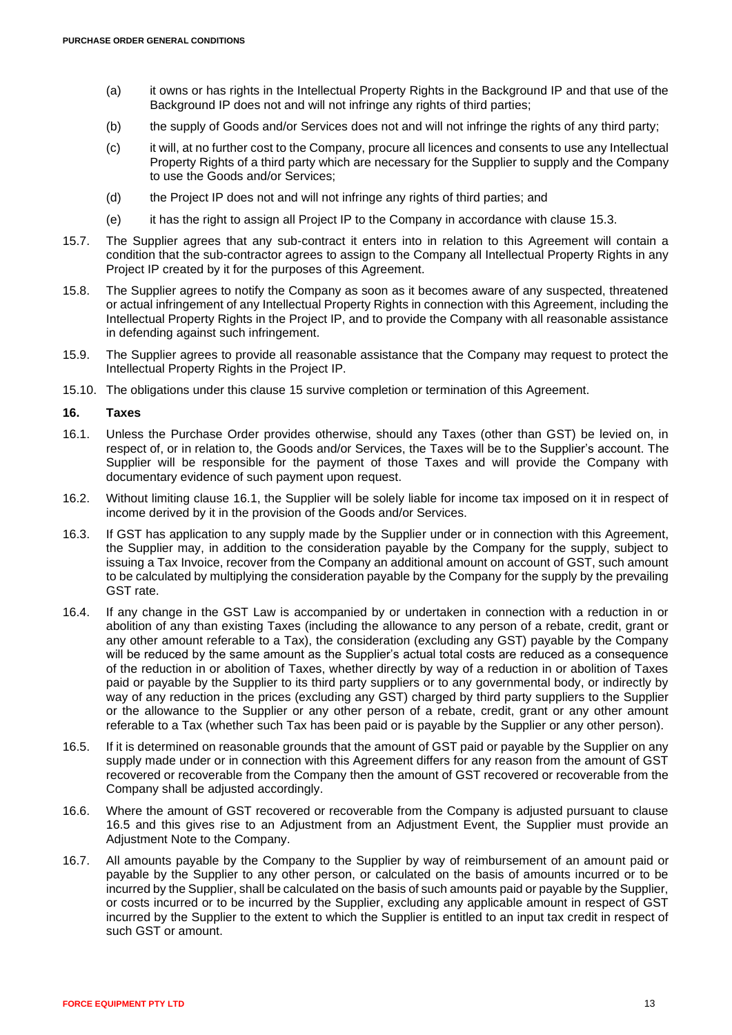- (a) it owns or has rights in the Intellectual Property Rights in the Background IP and that use of the Background IP does not and will not infringe any rights of third parties;
- (b) the supply of Goods and/or Services does not and will not infringe the rights of any third party;
- (c) it will, at no further cost to the Company, procure all licences and consents to use any Intellectual Property Rights of a third party which are necessary for the Supplier to supply and the Company to use the Goods and/or Services;
- (d) the Project IP does not and will not infringe any rights of third parties; and
- (e) it has the right to assign all Project IP to the Company in accordance with clause [15.3.](#page-11-1)
- 15.7. The Supplier agrees that any sub-contract it enters into in relation to this Agreement will contain a condition that the sub-contractor agrees to assign to the Company all Intellectual Property Rights in any Project IP created by it for the purposes of this Agreement.
- 15.8. The Supplier agrees to notify the Company as soon as it becomes aware of any suspected, threatened or actual infringement of any Intellectual Property Rights in connection with this Agreement, including the Intellectual Property Rights in the Project IP, and to provide the Company with all reasonable assistance in defending against such infringement.
- 15.9. The Supplier agrees to provide all reasonable assistance that the Company may request to protect the Intellectual Property Rights in the Project IP.
- 15.10. The obligations under this clause [15](#page-11-0) survive completion or termination of this Agreement.

#### **16. Taxes**

- <span id="page-12-0"></span>16.1. Unless the Purchase Order provides otherwise, should any Taxes (other than GST) be levied on, in respect of, or in relation to, the Goods and/or Services, the Taxes will be to the Supplier's account. The Supplier will be responsible for the payment of those Taxes and will provide the Company with documentary evidence of such payment upon request.
- 16.2. Without limiting clause [16.1,](#page-12-0) the Supplier will be solely liable for income tax imposed on it in respect of income derived by it in the provision of the Goods and/or Services.
- 16.3. If GST has application to any supply made by the Supplier under or in connection with this Agreement, the Supplier may, in addition to the consideration payable by the Company for the supply, subject to issuing a Tax Invoice, recover from the Company an additional amount on account of GST, such amount to be calculated by multiplying the consideration payable by the Company for the supply by the prevailing GST rate.
- 16.4. If any change in the GST Law is accompanied by or undertaken in connection with a reduction in or abolition of any than existing Taxes (including the allowance to any person of a rebate, credit, grant or any other amount referable to a Tax), the consideration (excluding any GST) payable by the Company will be reduced by the same amount as the Supplier's actual total costs are reduced as a consequence of the reduction in or abolition of Taxes, whether directly by way of a reduction in or abolition of Taxes paid or payable by the Supplier to its third party suppliers or to any governmental body, or indirectly by way of any reduction in the prices (excluding any GST) charged by third party suppliers to the Supplier or the allowance to the Supplier or any other person of a rebate, credit, grant or any other amount referable to a Tax (whether such Tax has been paid or is payable by the Supplier or any other person).
- <span id="page-12-1"></span>16.5. If it is determined on reasonable grounds that the amount of GST paid or payable by the Supplier on any supply made under or in connection with this Agreement differs for any reason from the amount of GST recovered or recoverable from the Company then the amount of GST recovered or recoverable from the Company shall be adjusted accordingly.
- 16.6. Where the amount of GST recovered or recoverable from the Company is adjusted pursuant to clause [16.5](#page-12-1) and this gives rise to an Adjustment from an Adjustment Event, the Supplier must provide an Adiustment Note to the Company.
- 16.7. All amounts payable by the Company to the Supplier by way of reimbursement of an amount paid or payable by the Supplier to any other person, or calculated on the basis of amounts incurred or to be incurred by the Supplier, shall be calculated on the basis of such amounts paid or payable by the Supplier, or costs incurred or to be incurred by the Supplier, excluding any applicable amount in respect of GST incurred by the Supplier to the extent to which the Supplier is entitled to an input tax credit in respect of such GST or amount.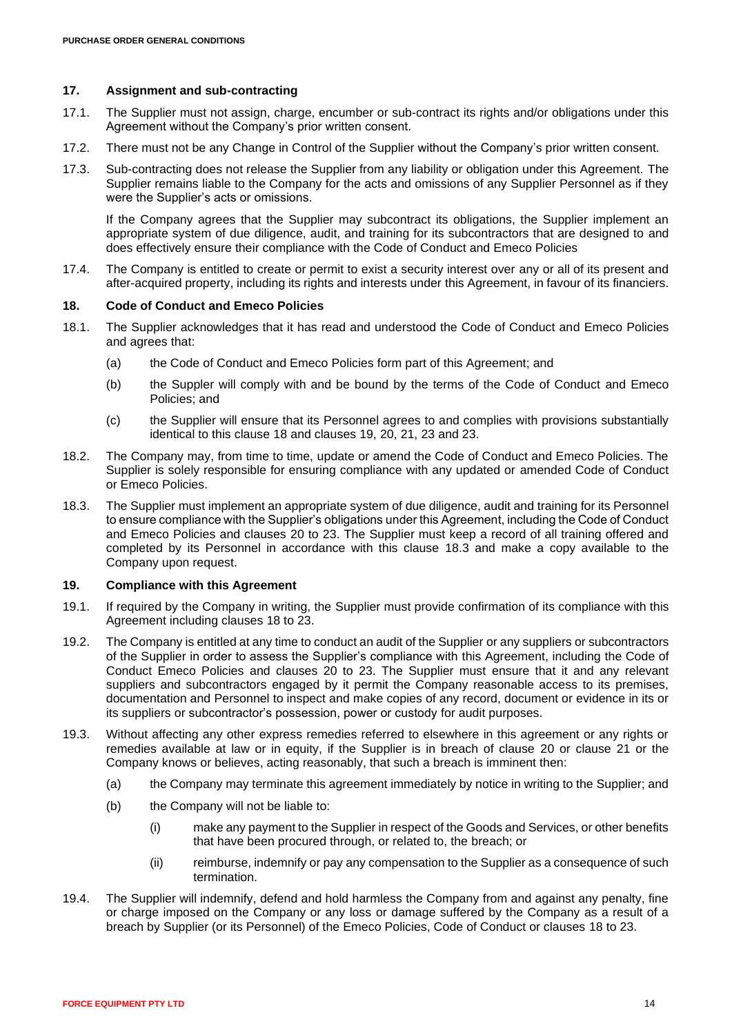## <span id="page-13-0"></span>**17. Assignment and sub-contracting**

- 17.1. The Supplier must not assign, charge, encumber or sub-contract its rights and/or obligations under this Agreement without the Company's prior written consent.
- 17.2. There must not be any Change in Control of the Supplier without the Company's prior written consent.
- 17.3. Sub-contracting does not release the Supplier from any liability or obligation under this Agreement. The Supplier remains liable to the Company for the acts and omissions of any Supplier Personnel as if they were the Supplier's acts or omissions.

If the Company agrees that the Supplier may subcontract its obligations, the Supplier implement an appropriate system of due diligence, audit, and training for its subcontractors that are designed to and does effectively ensure their compliance with the Code of Conduct and Emeco Policies

17.4. The Company is entitled to create or permit to exist a security interest over any or all of its present and after-acquired property, including its rights and interests under this Agreement, in favour of its financiers.

#### <span id="page-13-2"></span>**18. Code of Conduct and Emeco Policies**

- 18.1. The Supplier acknowledges that it has read and understood the Code of Conduct and Emeco Policies and agrees that:
	- (a) the Code of Conduct and Emeco Policies form part of this Agreement; and
	- (b) the Suppler will comply with and be bound by the terms of the Code of Conduct and Emeco Policies; and
	- (c) the Supplier will ensure that its Personnel agrees to and complies with provisions substantially identical to this clause [18](#page-13-2) and clauses [19,](#page-13-1) [20,](#page-14-0) [21,](#page-14-1) [23](#page-15-0) and [23.](#page-15-0)
- 18.2. The Company may, from time to time, update or amend the Code of Conduct and Emeco Policies. The Supplier is solely responsible for ensuring compliance with any updated or amended Code of Conduct or Emeco Policies.
- <span id="page-13-3"></span>18.3. The Supplier must implement an appropriate system of due diligence, audit and training for its Personnel to ensure compliance with the Supplier's obligations under this Agreement, including the Code of Conduct and Emeco Policies and clauses [20](#page-14-0) to [23.](#page-15-0) The Supplier must keep a record of all training offered and completed by its Personnel in accordance with this clause [18.3](#page-13-3) and make a copy available to the Company upon request.

# <span id="page-13-1"></span>**19. Compliance with this Agreement**

- 19.1. If required by the Company in writing, the Supplier must provide confirmation of its compliance with this Agreement including clauses [18](#page-13-2) to [23.](#page-15-0)
- 19.2. The Company is entitled at any time to conduct an audit of the Supplier or any suppliers or subcontractors of the Supplier in order to assess the Supplier's compliance with this Agreement, including the Code of Conduct Emeco Policies and clauses [20](#page-14-0) to [23.](#page-15-0) The Supplier must ensure that it and any relevant suppliers and subcontractors engaged by it permit the Company reasonable access to its premises, documentation and Personnel to inspect and make copies of any record, document or evidence in its or its suppliers or subcontractor's possession, power or custody for audit purposes.
- 19.3. Without affecting any other express remedies referred to elsewhere in this agreement or any rights or remedies available at law or in equity, if the Supplier is in breach of clause [20](#page-14-0) or clause [21](#page-14-1) or the Company knows or believes, acting reasonably, that such a breach is imminent then:
	- (a) the Company may terminate this agreement immediately by notice in writing to the Supplier; and
	- (b) the Company will not be liable to:
		- (i) make any payment to the Supplier in respect of the Goods and Services, or other benefits that have been procured through, or related to, the breach; or
		- (ii) reimburse, indemnify or pay any compensation to the Supplier as a consequence of such termination.
- 19.4. The Supplier will indemnify, defend and hold harmless the Company from and against any penalty, fine or charge imposed on the Company or any loss or damage suffered by the Company as a result of a breach by Supplier (or its Personnel) of the Emeco Policies, Code of Conduct or clauses [18](#page-13-2) to [23.](#page-15-0)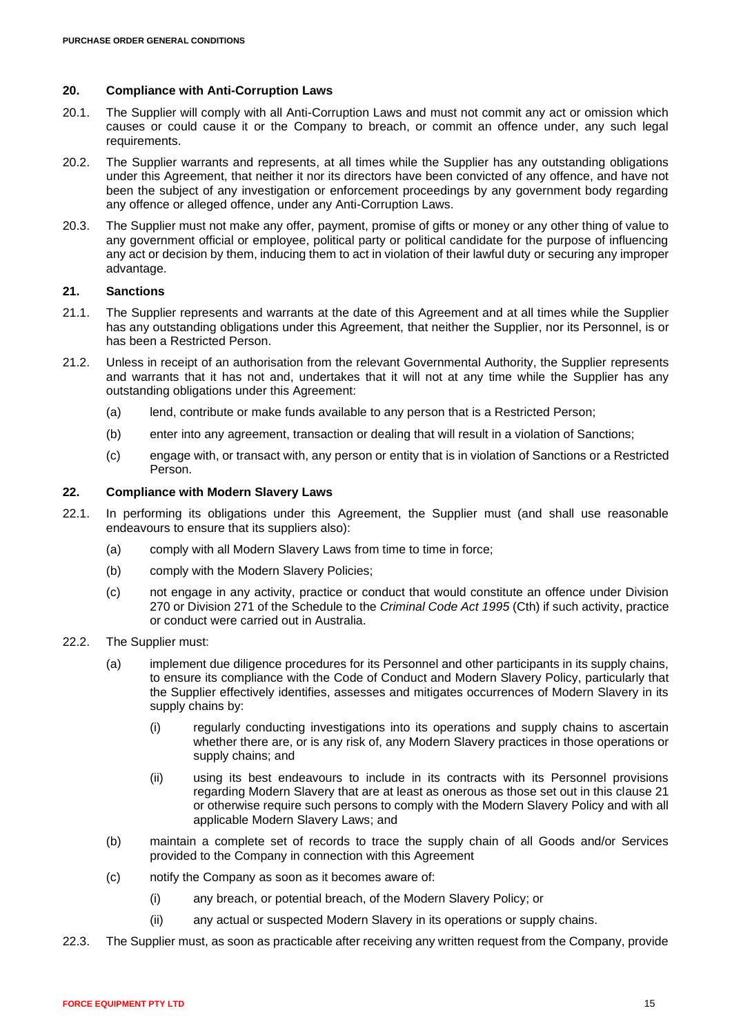### <span id="page-14-0"></span>**20. Compliance with Anti-Corruption Laws**

- 20.1. The Supplier will comply with all Anti-Corruption Laws and must not commit any act or omission which causes or could cause it or the Company to breach, or commit an offence under, any such legal requirements.
- 20.2. The Supplier warrants and represents, at all times while the Supplier has any outstanding obligations under this Agreement, that neither it nor its directors have been convicted of any offence, and have not been the subject of any investigation or enforcement proceedings by any government body regarding any offence or alleged offence, under any Anti-Corruption Laws.
- 20.3. The Supplier must not make any offer, payment, promise of gifts or money or any other thing of value to any government official or employee, political party or political candidate for the purpose of influencing any act or decision by them, inducing them to act in violation of their lawful duty or securing any improper advantage.

# <span id="page-14-1"></span>**21. Sanctions**

- 21.1. The Supplier represents and warrants at the date of this Agreement and at all times while the Supplier has any outstanding obligations under this Agreement, that neither the Supplier, nor its Personnel, is or has been a Restricted Person.
- 21.2. Unless in receipt of an authorisation from the relevant Governmental Authority, the Supplier represents and warrants that it has not and, undertakes that it will not at any time while the Supplier has any outstanding obligations under this Agreement:
	- (a) lend, contribute or make funds available to any person that is a Restricted Person;
	- (b) enter into any agreement, transaction or dealing that will result in a violation of Sanctions;
	- (c) engage with, or transact with, any person or entity that is in violation of Sanctions or a Restricted Person.

#### **22. Compliance with Modern Slavery Laws**

- 22.1. In performing its obligations under this Agreement, the Supplier must (and shall use reasonable endeavours to ensure that its suppliers also):
	- (a) comply with all Modern Slavery Laws from time to time in force;
	- (b) comply with the Modern Slavery Policies;
	- (c) not engage in any activity, practice or conduct that would constitute an offence under Division 270 or Division 271 of the Schedule to the *Criminal Code Act 1995* (Cth) if such activity, practice or conduct were carried out in Australia.
- 22.2. The Supplier must:
	- (a) implement due diligence procedures for its Personnel and other participants in its supply chains, to ensure its compliance with the Code of Conduct and Modern Slavery Policy, particularly that the Supplier effectively identifies, assesses and mitigates occurrences of Modern Slavery in its supply chains by:
		- (i) regularly conducting investigations into its operations and supply chains to ascertain whether there are, or is any risk of, any Modern Slavery practices in those operations or supply chains; and
		- (ii) using its best endeavours to include in its contracts with its Personnel provisions regarding Modern Slavery that are at least as onerous as those set out in this clause [21](#page-14-1) or otherwise require such persons to comply with the Modern Slavery Policy and with all applicable Modern Slavery Laws; and
	- (b) maintain a complete set of records to trace the supply chain of all Goods and/or Services provided to the Company in connection with this Agreement
	- (c) notify the Company as soon as it becomes aware of:
		- (i) any breach, or potential breach, of the Modern Slavery Policy; or
		- (ii) any actual or suspected Modern Slavery in its operations or supply chains.
- <span id="page-14-2"></span>22.3. The Supplier must, as soon as practicable after receiving any written request from the Company, provide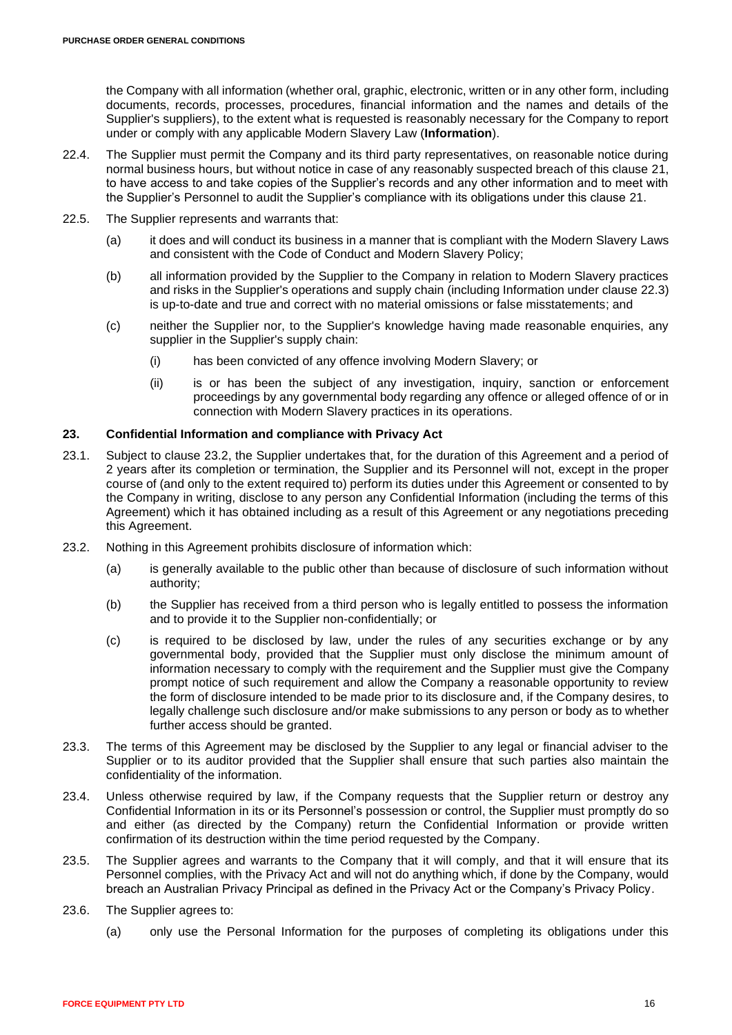the Company with all information (whether oral, graphic, electronic, written or in any other form, including documents, records, processes, procedures, financial information and the names and details of the Supplier's suppliers), to the extent what is requested is reasonably necessary for the Company to report under or comply with any applicable Modern Slavery Law (**Information**).

- 22.4. The Supplier must permit the Company and its third party representatives, on reasonable notice during normal business hours, but without notice in case of any reasonably suspected breach of this clause [21,](#page-14-1) to have access to and take copies of the Supplier's records and any other information and to meet with the Supplier's Personnel to audit the Supplier's compliance with its obligations under this clause [21.](#page-14-1)
- 22.5. The Supplier represents and warrants that:
	- (a) it does and will conduct its business in a manner that is compliant with the Modern Slavery Laws and consistent with the Code of Conduct and Modern Slavery Policy;
	- (b) all information provided by the Supplier to the Company in relation to Modern Slavery practices and risks in the Supplier's operations and supply chain (including Information under clause [22.3\)](#page-14-2) is up-to-date and true and correct with no material omissions or false misstatements; and
	- (c) neither the Supplier nor, to the Supplier's knowledge having made reasonable enquiries, any supplier in the Supplier's supply chain:
		- (i) has been convicted of any offence involving Modern Slavery; or
		- (ii) is or has been the subject of any investigation, inquiry, sanction or enforcement proceedings by any governmental body regarding any offence or alleged offence of or in connection with Modern Slavery practices in its operations.

# <span id="page-15-0"></span>**23. Confidential Information and compliance with Privacy Act**

- 23.1. Subject to clause [23.2,](#page-15-2) the Supplier undertakes that, for the duration of this Agreement and a period of 2 years after its completion or termination, the Supplier and its Personnel will not, except in the proper course of (and only to the extent required to) perform its duties under this Agreement or consented to by the Company in writing, disclose to any person any Confidential Information (including the terms of this Agreement) which it has obtained including as a result of this Agreement or any negotiations preceding this Agreement.
- <span id="page-15-2"></span>23.2. Nothing in this Agreement prohibits disclosure of information which:
	- (a) is generally available to the public other than because of disclosure of such information without authority;
	- (b) the Supplier has received from a third person who is legally entitled to possess the information and to provide it to the Supplier non-confidentially; or
	- (c) is required to be disclosed by law, under the rules of any securities exchange or by any governmental body, provided that the Supplier must only disclose the minimum amount of information necessary to comply with the requirement and the Supplier must give the Company prompt notice of such requirement and allow the Company a reasonable opportunity to review the form of disclosure intended to be made prior to its disclosure and, if the Company desires, to legally challenge such disclosure and/or make submissions to any person or body as to whether further access should be granted.
- 23.3. The terms of this Agreement may be disclosed by the Supplier to any legal or financial adviser to the Supplier or to its auditor provided that the Supplier shall ensure that such parties also maintain the confidentiality of the information.
- <span id="page-15-1"></span>23.4. Unless otherwise required by law, if the Company requests that the Supplier return or destroy any Confidential Information in its or its Personnel's possession or control, the Supplier must promptly do so and either (as directed by the Company) return the Confidential Information or provide written confirmation of its destruction within the time period requested by the Company.
- 23.5. The Supplier agrees and warrants to the Company that it will comply, and that it will ensure that its Personnel complies, with the Privacy Act and will not do anything which, if done by the Company, would breach an Australian Privacy Principal as defined in the Privacy Act or the Company's Privacy Policy.
- 23.6. The Supplier agrees to:
	- (a) only use the Personal Information for the purposes of completing its obligations under this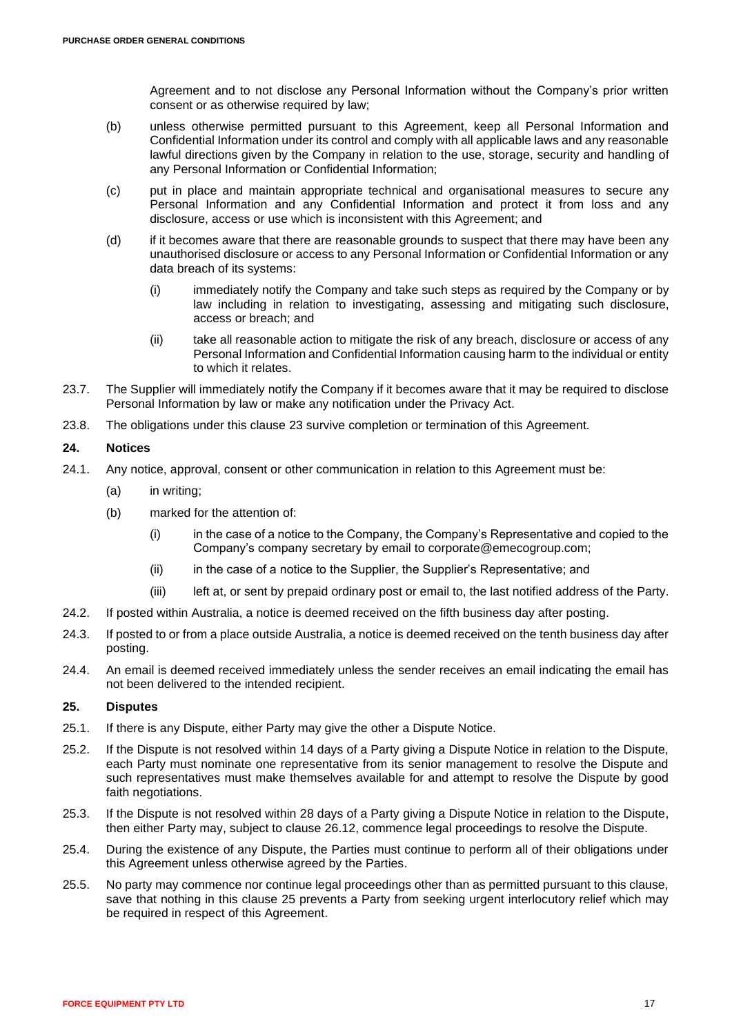Agreement and to not disclose any Personal Information without the Company's prior written consent or as otherwise required by law;

- (b) unless otherwise permitted pursuant to this Agreement, keep all Personal Information and Confidential Information under its control and comply with all applicable laws and any reasonable lawful directions given by the Company in relation to the use, storage, security and handling of any Personal Information or Confidential Information;
- (c) put in place and maintain appropriate technical and organisational measures to secure any Personal Information and any Confidential Information and protect it from loss and any disclosure, access or use which is inconsistent with this Agreement; and
- (d) if it becomes aware that there are reasonable grounds to suspect that there may have been any unauthorised disclosure or access to any Personal Information or Confidential Information or any data breach of its systems:
	- (i) immediately notify the Company and take such steps as required by the Company or by law including in relation to investigating, assessing and mitigating such disclosure, access or breach; and
	- (ii) take all reasonable action to mitigate the risk of any breach, disclosure or access of any Personal Information and Confidential Information causing harm to the individual or entity to which it relates.
- 23.7. The Supplier will immediately notify the Company if it becomes aware that it may be required to disclose Personal Information by law or make any notification under the Privacy Act.
- 23.8. The obligations under this clause [23](#page-15-0) survive completion or termination of this Agreement.

# **24. Notices**

- 24.1. Any notice, approval, consent or other communication in relation to this Agreement must be:
	- (a) in writing;
	- (b) marked for the attention of:
		- (i) in the case of a notice to the Company, the Company's Representative and copied to the Company's company secretary by email to [corporate@emecogroup.com;](mailto:corporate@emecogroup.com)
		- (ii) in the case of a notice to the Supplier, the Supplier's Representative; and
		- (iii) left at, or sent by prepaid ordinary post or email to, the last notified address of the Party.
- 24.2. If posted within Australia, a notice is deemed received on the fifth business day after posting.
- 24.3. If posted to or from a place outside Australia, a notice is deemed received on the tenth business day after posting.
- 24.4. An email is deemed received immediately unless the sender receives an email indicating the email has not been delivered to the intended recipient.

# <span id="page-16-0"></span>**25. Disputes**

- <span id="page-16-1"></span>25.1. If there is any Dispute, either Party may give the other a Dispute Notice.
- 25.2. If the Dispute is not resolved within 14 days of a Party giving a Dispute Notice in relation to the Dispute, each Party must nominate one representative from its senior management to resolve the Dispute and such representatives must make themselves available for and attempt to resolve the Dispute by good faith negotiations.
- 25.3. If the Dispute is not resolved within 28 days of a Party giving a Dispute Notice in relation to the Dispute, then either Party may, subject to clause [26.12,](#page-17-0) commence legal proceedings to resolve the Dispute.
- 25.4. During the existence of any Dispute, the Parties must continue to perform all of their obligations under this Agreement unless otherwise agreed by the Parties.
- 25.5. No party may commence nor continue legal proceedings other than as permitted pursuant to this clause, save that nothing in this clause [25](#page-16-0) prevents a Party from seeking urgent interlocutory relief which may be required in respect of this Agreement.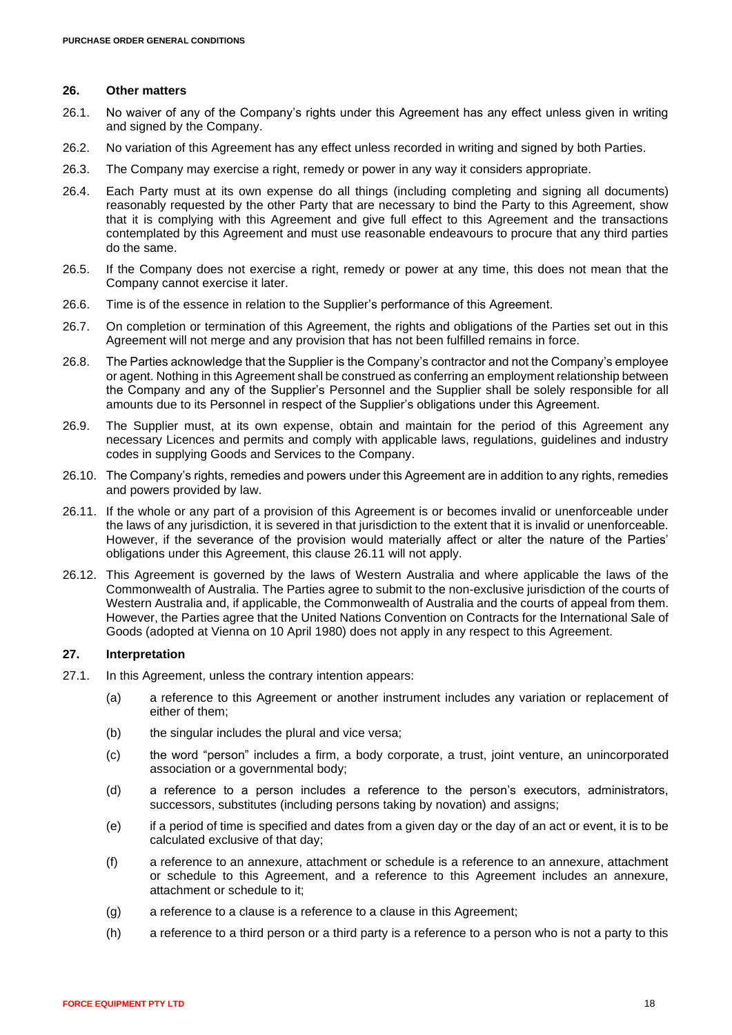### **26. Other matters**

- 26.1. No waiver of any of the Company's rights under this Agreement has any effect unless given in writing and signed by the Company.
- 26.2. No variation of this Agreement has any effect unless recorded in writing and signed by both Parties.
- 26.3. The Company may exercise a right, remedy or power in any way it considers appropriate.
- 26.4. Each Party must at its own expense do all things (including completing and signing all documents) reasonably requested by the other Party that are necessary to bind the Party to this Agreement, show that it is complying with this Agreement and give full effect to this Agreement and the transactions contemplated by this Agreement and must use reasonable endeavours to procure that any third parties do the same.
- 26.5. If the Company does not exercise a right, remedy or power at any time, this does not mean that the Company cannot exercise it later.
- 26.6. Time is of the essence in relation to the Supplier's performance of this Agreement.
- 26.7. On completion or termination of this Agreement, the rights and obligations of the Parties set out in this Agreement will not merge and any provision that has not been fulfilled remains in force.
- 26.8. The Parties acknowledge that the Supplier is the Company's contractor and not the Company's employee or agent. Nothing in this Agreement shall be construed as conferring an employment relationship between the Company and any of the Supplier's Personnel and the Supplier shall be solely responsible for all amounts due to its Personnel in respect of the Supplier's obligations under this Agreement.
- 26.9. The Supplier must, at its own expense, obtain and maintain for the period of this Agreement any necessary Licences and permits and comply with applicable laws, regulations, guidelines and industry codes in supplying Goods and Services to the Company.
- 26.10. The Company's rights, remedies and powers under this Agreement are in addition to any rights, remedies and powers provided by law.
- <span id="page-17-1"></span>26.11. If the whole or any part of a provision of this Agreement is or becomes invalid or unenforceable under the laws of any jurisdiction, it is severed in that jurisdiction to the extent that it is invalid or unenforceable. However, if the severance of the provision would materially affect or alter the nature of the Parties' obligations under this Agreement, this clause [26.11](#page-17-1) will not apply.
- <span id="page-17-0"></span>26.12. This Agreement is governed by the laws of Western Australia and where applicable the laws of the Commonwealth of Australia. The Parties agree to submit to the non-exclusive jurisdiction of the courts of Western Australia and, if applicable, the Commonwealth of Australia and the courts of appeal from them. However, the Parties agree that the United Nations Convention on Contracts for the International Sale of Goods (adopted at Vienna on 10 April 1980) does not apply in any respect to this Agreement.

# **27. Interpretation**

- 27.1. In this Agreement, unless the contrary intention appears:
	- (a) a reference to this Agreement or another instrument includes any variation or replacement of either of them;
	- (b) the singular includes the plural and vice versa;
	- (c) the word "person" includes a firm, a body corporate, a trust, joint venture, an unincorporated association or a governmental body;
	- (d) a reference to a person includes a reference to the person's executors, administrators, successors, substitutes (including persons taking by novation) and assigns;
	- (e) if a period of time is specified and dates from a given day or the day of an act or event, it is to be calculated exclusive of that day;
	- (f) a reference to an annexure, attachment or schedule is a reference to an annexure, attachment or schedule to this Agreement, and a reference to this Agreement includes an annexure, attachment or schedule to it;
	- (g) a reference to a clause is a reference to a clause in this Agreement;
	- (h) a reference to a third person or a third party is a reference to a person who is not a party to this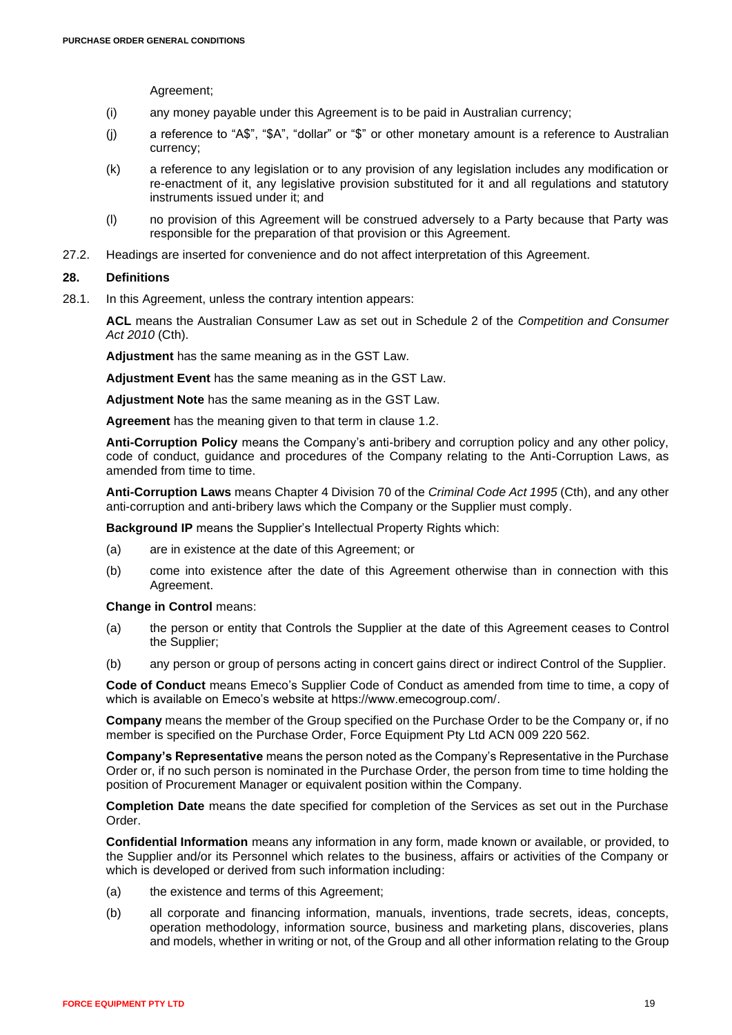Agreement;

- (i) any money payable under this Agreement is to be paid in Australian currency;
- (j) a reference to "A\$", "\$A", "dollar" or "\$" or other monetary amount is a reference to Australian currency;
- (k) a reference to any legislation or to any provision of any legislation includes any modification or re-enactment of it, any legislative provision substituted for it and all regulations and statutory instruments issued under it; and
- (l) no provision of this Agreement will be construed adversely to a Party because that Party was responsible for the preparation of that provision or this Agreement.
- 27.2. Headings are inserted for convenience and do not affect interpretation of this Agreement.

### **28. Definitions**

28.1. In this Agreement, unless the contrary intention appears:

**ACL** means the Australian Consumer Law as set out in Schedule 2 of the *Competition and Consumer Act 2010* (Cth).

**Adjustment** has the same meaning as in the GST Law.

**Adjustment Event** has the same meaning as in the GST Law.

**Adjustment Note** has the same meaning as in the GST Law.

**Agreement** has the meaning given to that term in clause [1.2.](#page-0-5)

**Anti-Corruption Policy** means the Company's anti-bribery and corruption policy and any other policy, code of conduct, guidance and procedures of the Company relating to the Anti-Corruption Laws, as amended from time to time.

**Anti-Corruption Laws** means Chapter 4 Division 70 of the *Criminal Code Act 1995* (Cth), and any other anti-corruption and anti-bribery laws which the Company or the Supplier must comply.

**Background IP** means the Supplier's Intellectual Property Rights which:

- (a) are in existence at the date of this Agreement; or
- (b) come into existence after the date of this Agreement otherwise than in connection with this Agreement.

**Change in Control** means:

- (a) the person or entity that Controls the Supplier at the date of this Agreement ceases to Control the Supplier;
- (b) any person or group of persons acting in concert gains direct or indirect Control of the Supplier.

**Code of Conduct** means Emeco's Supplier Code of Conduct as amended from time to time, a copy of which is available on Emeco's website at https://www.emecogroup.com/.

**Company** means the member of the Group specified on the Purchase Order to be the Company or, if no member is specified on the Purchase Order, Force Equipment Pty Ltd ACN 009 220 562.

**Company's Representative** means the person noted as the Company's Representative in the Purchase Order or, if no such person is nominated in the Purchase Order, the person from time to time holding the position of Procurement Manager or equivalent position within the Company.

**Completion Date** means the date specified for completion of the Services as set out in the Purchase Order.

**Confidential Information** means any information in any form, made known or available, or provided, to the Supplier and/or its Personnel which relates to the business, affairs or activities of the Company or which is developed or derived from such information including:

- (a) the existence and terms of this Agreement;
- (b) all corporate and financing information, manuals, inventions, trade secrets, ideas, concepts, operation methodology, information source, business and marketing plans, discoveries, plans and models, whether in writing or not, of the Group and all other information relating to the Group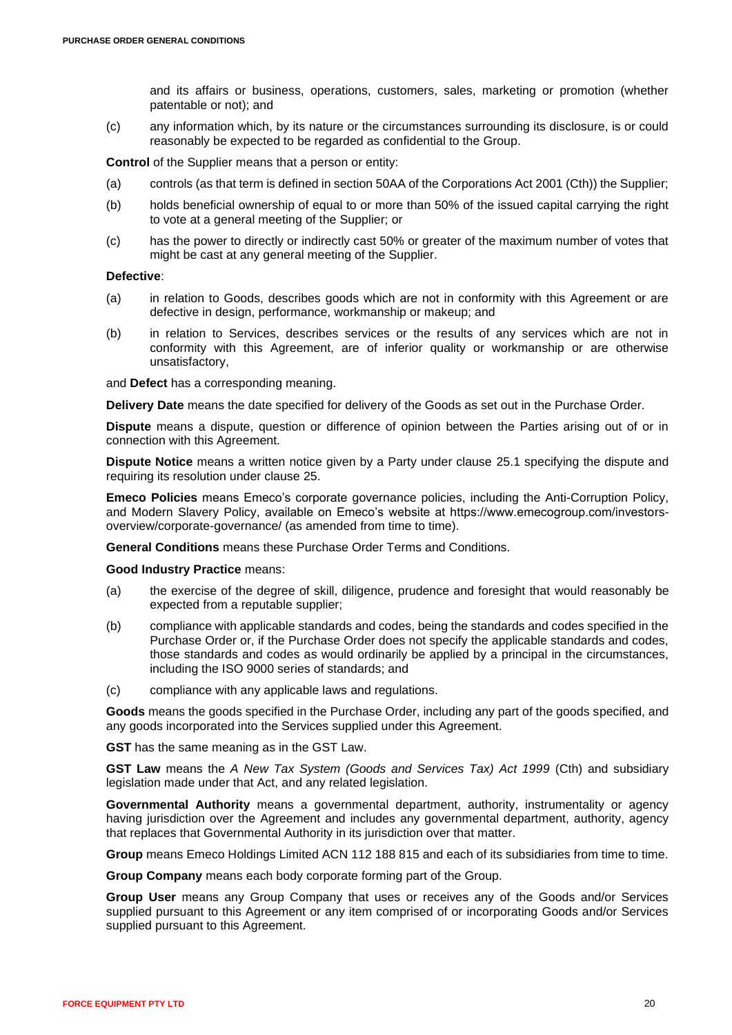and its affairs or business, operations, customers, sales, marketing or promotion (whether patentable or not); and

(c) any information which, by its nature or the circumstances surrounding its disclosure, is or could reasonably be expected to be regarded as confidential to the Group.

**Control** of the Supplier means that a person or entity:

- (a) controls (as that term is defined in section 50AA of the Corporations Act 2001 (Cth)) the Supplier;
- (b) holds beneficial ownership of equal to or more than 50% of the issued capital carrying the right to vote at a general meeting of the Supplier; or
- (c) has the power to directly or indirectly cast 50% or greater of the maximum number of votes that might be cast at any general meeting of the Supplier.

#### **Defective**:

- (a) in relation to Goods, describes goods which are not in conformity with this Agreement or are defective in design, performance, workmanship or makeup; and
- (b) in relation to Services, describes services or the results of any services which are not in conformity with this Agreement, are of inferior quality or workmanship or are otherwise unsatisfactory,

and **Defect** has a corresponding meaning.

**Delivery Date** means the date specified for delivery of the Goods as set out in the Purchase Order.

**Dispute** means a dispute, question or difference of opinion between the Parties arising out of or in connection with this Agreement.

**Dispute Notice** means a written notice given by a Party under clause [25.1](#page-16-1) specifying the dispute and requiring its resolution under clause [25.](#page-16-0)

**Emeco Policies** means Emeco's corporate governance policies, including the Anti-Corruption Policy, and Modern Slavery Policy, available on Emeco's website at https://www.emecogroup.com/investorsoverview/corporate-governance/ (as amended from time to time).

**General Conditions** means these Purchase Order Terms and Conditions.

**Good Industry Practice** means:

- (a) the exercise of the degree of skill, diligence, prudence and foresight that would reasonably be expected from a reputable supplier;
- (b) compliance with applicable standards and codes, being the standards and codes specified in the Purchase Order or, if the Purchase Order does not specify the applicable standards and codes, those standards and codes as would ordinarily be applied by a principal in the circumstances, including the ISO 9000 series of standards; and
- (c) compliance with any applicable laws and regulations.

**Goods** means the goods specified in the Purchase Order, including any part of the goods specified, and any goods incorporated into the Services supplied under this Agreement.

**GST** has the same meaning as in the GST Law.

**GST Law** means the *A New Tax System (Goods and Services Tax) Act 1999* (Cth) and subsidiary legislation made under that Act, and any related legislation.

Governmental Authority means a governmental department, authority, instrumentality or agency having jurisdiction over the Agreement and includes any governmental department, authority, agency that replaces that Governmental Authority in its jurisdiction over that matter.

**Group** means Emeco Holdings Limited ACN 112 188 815 and each of its subsidiaries from time to time.

**Group Company** means each body corporate forming part of the Group.

**Group User** means any Group Company that uses or receives any of the Goods and/or Services supplied pursuant to this Agreement or any item comprised of or incorporating Goods and/or Services supplied pursuant to this Agreement.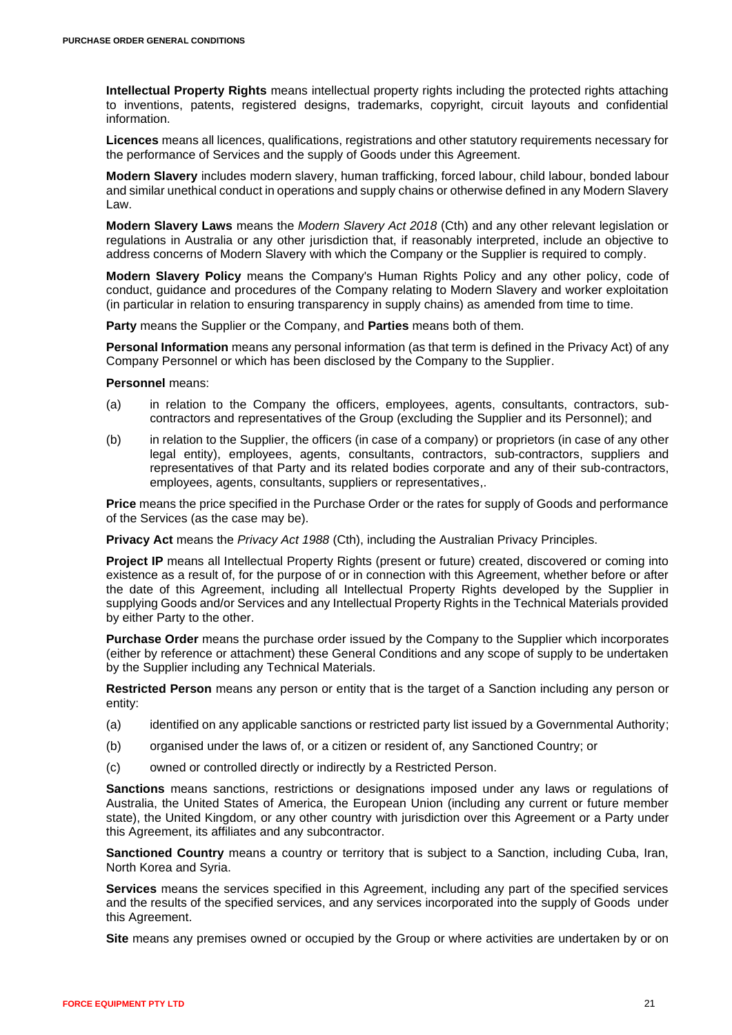**Intellectual Property Rights** means intellectual property rights including the protected rights attaching to inventions, patents, registered designs, trademarks, copyright, circuit layouts and confidential information.

**Licences** means all licences, qualifications, registrations and other statutory requirements necessary for the performance of Services and the supply of Goods under this Agreement.

**Modern Slavery** includes modern slavery, human trafficking, forced labour, child labour, bonded labour and similar unethical conduct in operations and supply chains or otherwise defined in any Modern Slavery Law.

**Modern Slavery Laws** means the *Modern Slavery Act 2018* (Cth) and any other relevant legislation or regulations in Australia or any other jurisdiction that, if reasonably interpreted, include an objective to address concerns of Modern Slavery with which the Company or the Supplier is required to comply.

**Modern Slavery Policy** means the Company's Human Rights Policy and any other policy, code of conduct, guidance and procedures of the Company relating to Modern Slavery and worker exploitation (in particular in relation to ensuring transparency in supply chains) as amended from time to time.

**Party** means the Supplier or the Company, and **Parties** means both of them.

**Personal Information** means any personal information (as that term is defined in the Privacy Act) of any Company Personnel or which has been disclosed by the Company to the Supplier.

**Personnel** means:

- (a) in relation to the Company the officers, employees, agents, consultants, contractors, subcontractors and representatives of the Group (excluding the Supplier and its Personnel); and
- (b) in relation to the Supplier, the officers (in case of a company) or proprietors (in case of any other legal entity), employees, agents, consultants, contractors, sub-contractors, suppliers and representatives of that Party and its related bodies corporate and any of their sub-contractors, employees, agents, consultants, suppliers or representatives,.

**Price** means the price specified in the Purchase Order or the rates for supply of Goods and performance of the Services (as the case may be).

**Privacy Act** means the *Privacy Act 1988* (Cth), including the Australian Privacy Principles.

**Project IP** means all Intellectual Property Rights (present or future) created, discovered or coming into existence as a result of, for the purpose of or in connection with this Agreement, whether before or after the date of this Agreement, including all Intellectual Property Rights developed by the Supplier in supplying Goods and/or Services and any Intellectual Property Rights in the Technical Materials provided by either Party to the other.

**Purchase Order** means the purchase order issued by the Company to the Supplier which incorporates (either by reference or attachment) these General Conditions and any scope of supply to be undertaken by the Supplier including any Technical Materials.

**Restricted Person** means any person or entity that is the target of a Sanction including any person or entity:

- (a) identified on any applicable sanctions or restricted party list issued by a Governmental Authority;
- (b) organised under the laws of, or a citizen or resident of, any Sanctioned Country; or
- (c) owned or controlled directly or indirectly by a Restricted Person.

**Sanctions** means sanctions, restrictions or designations imposed under any laws or regulations of Australia, the United States of America, the European Union (including any current or future member state), the United Kingdom, or any other country with jurisdiction over this Agreement or a Party under this Agreement, its affiliates and any subcontractor.

**Sanctioned Country** means a country or territory that is subject to a Sanction, including Cuba, Iran, North Korea and Syria.

**Services** means the services specified in this Agreement, including any part of the specified services and the results of the specified services, and any services incorporated into the supply of Goods under this Agreement.

**Site** means any premises owned or occupied by the Group or where activities are undertaken by or on